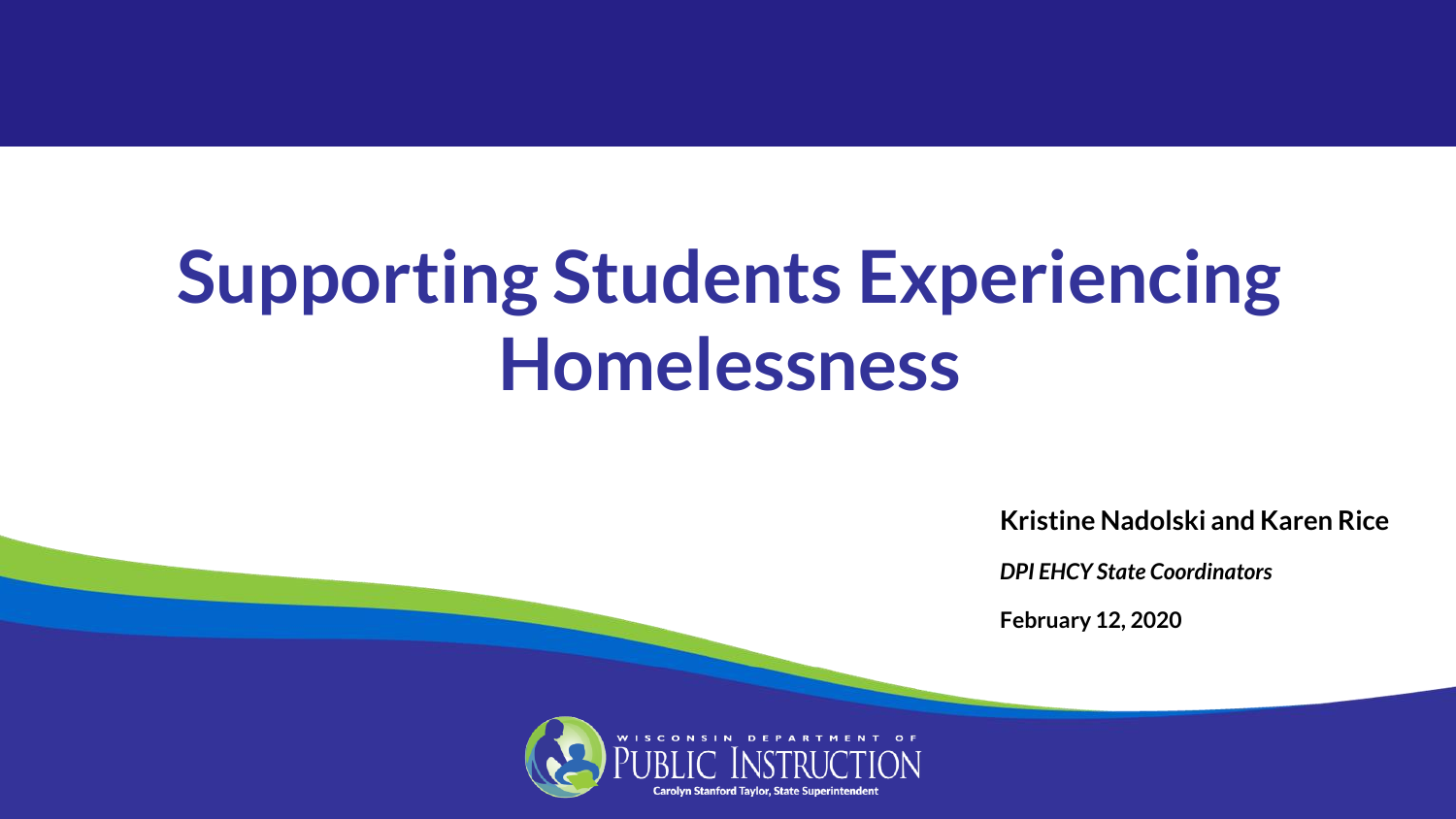# **Supporting Students Experiencing Homelessness**

**Kristine Nadolski and Karen Rice**

*DPI EHCY State Coordinators*

**February 12, 2020**

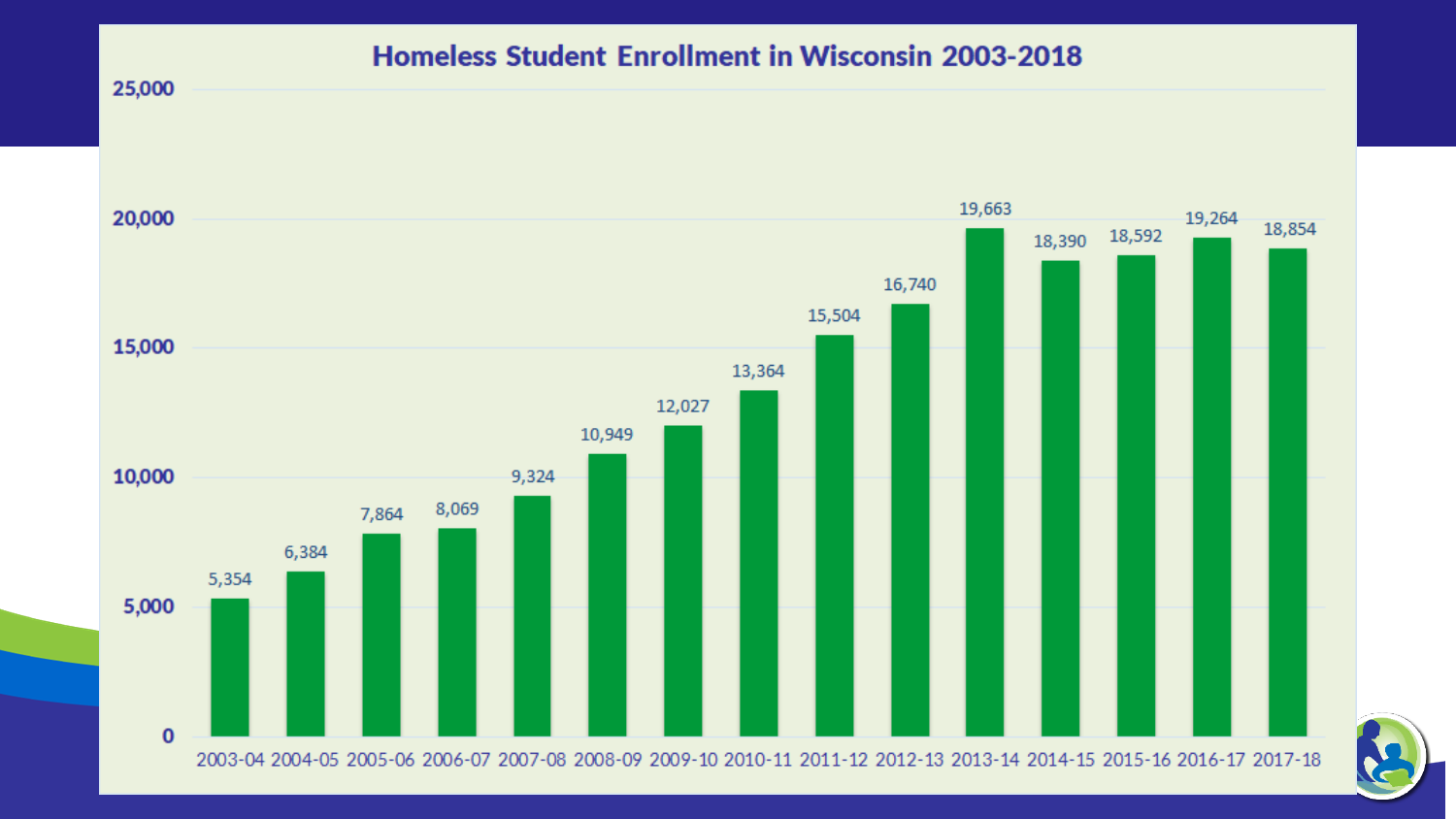#### Homeless Student Enrollment in Wisconsin 2003-2018

25,000

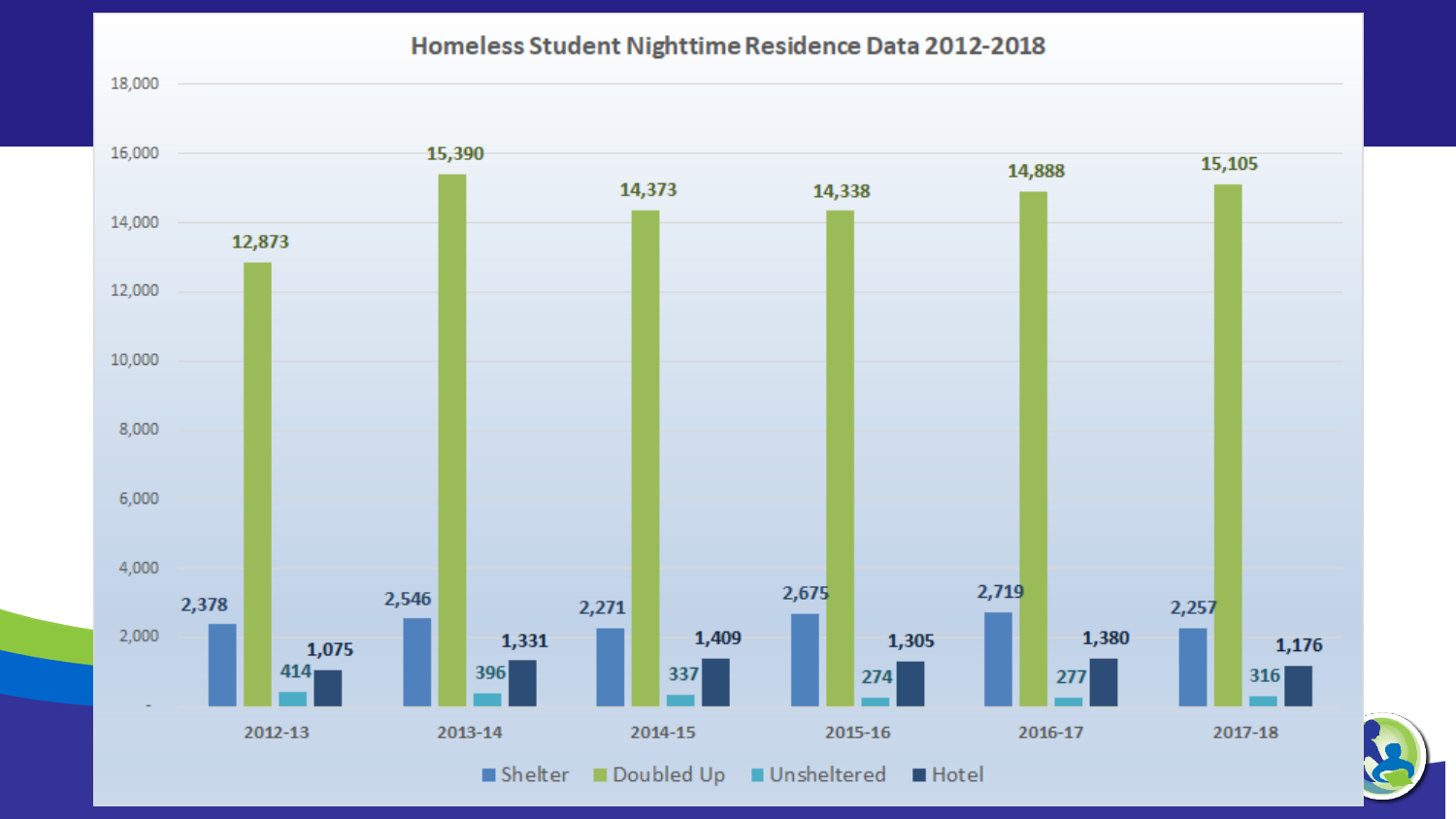#### Homeless Student Nighttime Residence Data 2012-2018

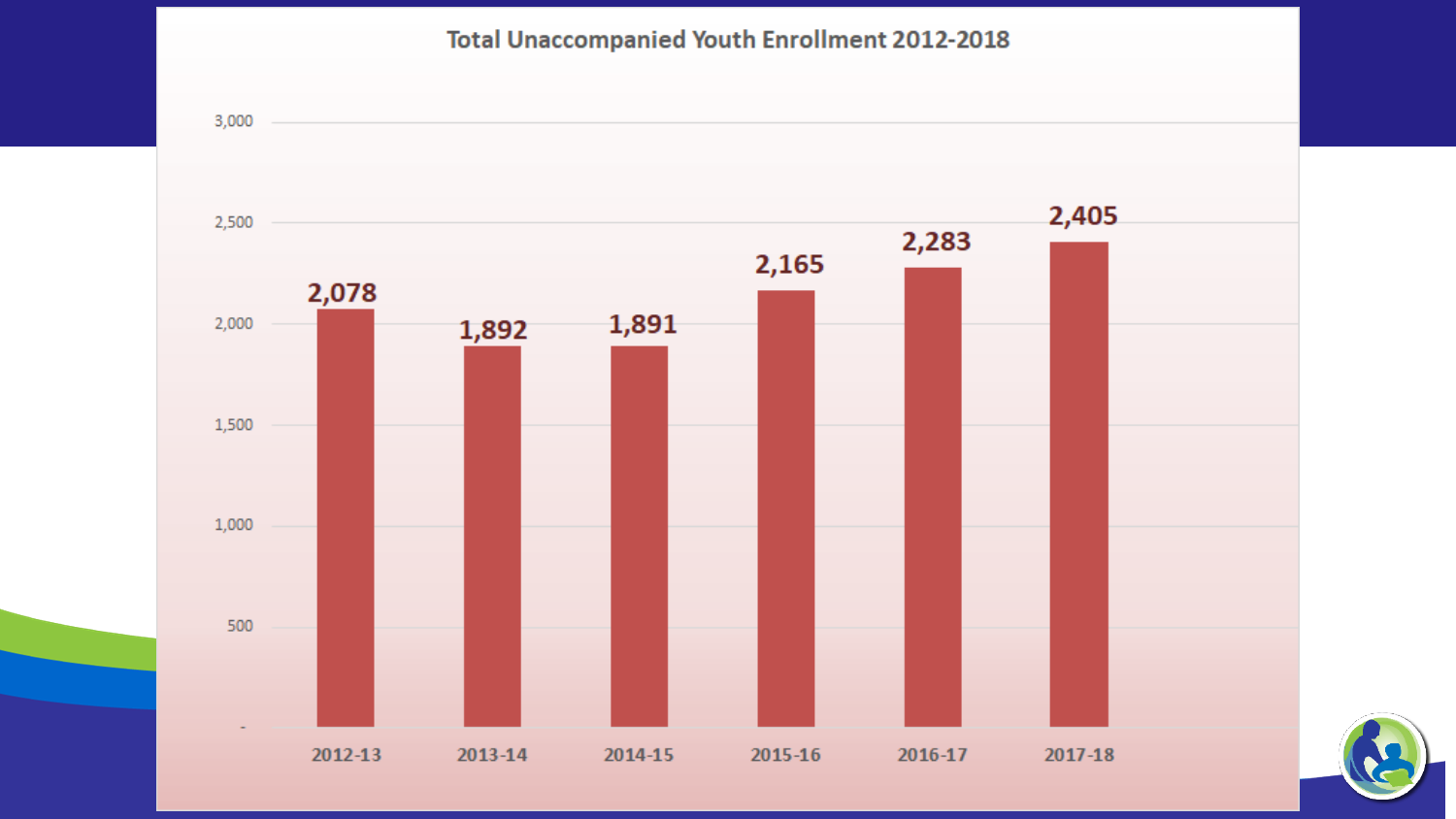#### **Total Unaccompanied Youth Enrollment 2012-2018**

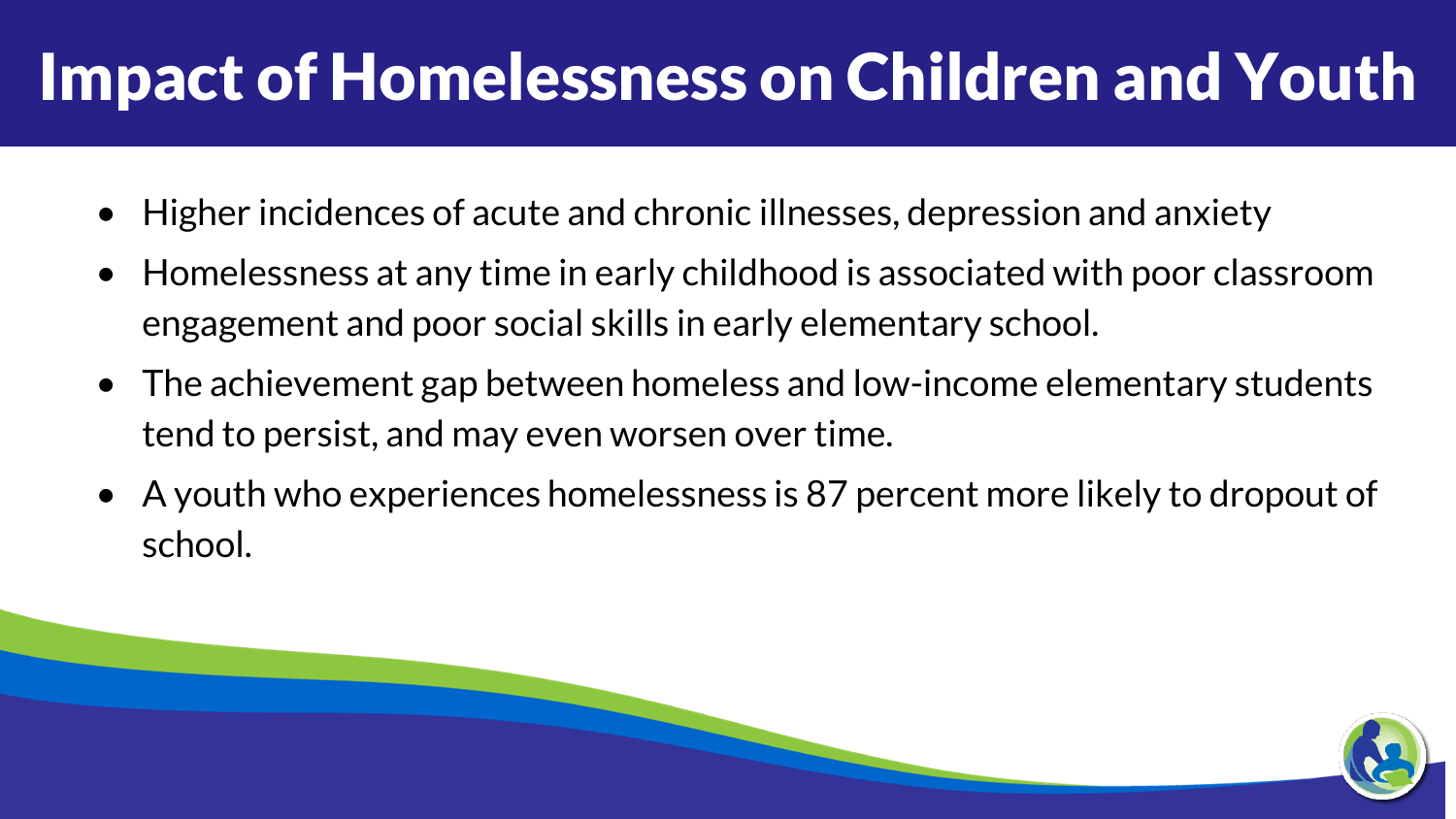#### Impact of Homelessness on Children and Youth

- Higher incidences of acute and chronic illnesses, depression and anxiety
- Homelessness at any time in early childhood is associated with poor classroom engagement and poor social skills in early elementary school.
- The achievement gap between homeless and low-income elementary students tend to persist, and may even worsen over time.
- A youth who experiences homelessness is 87 percent more likely to dropout of school.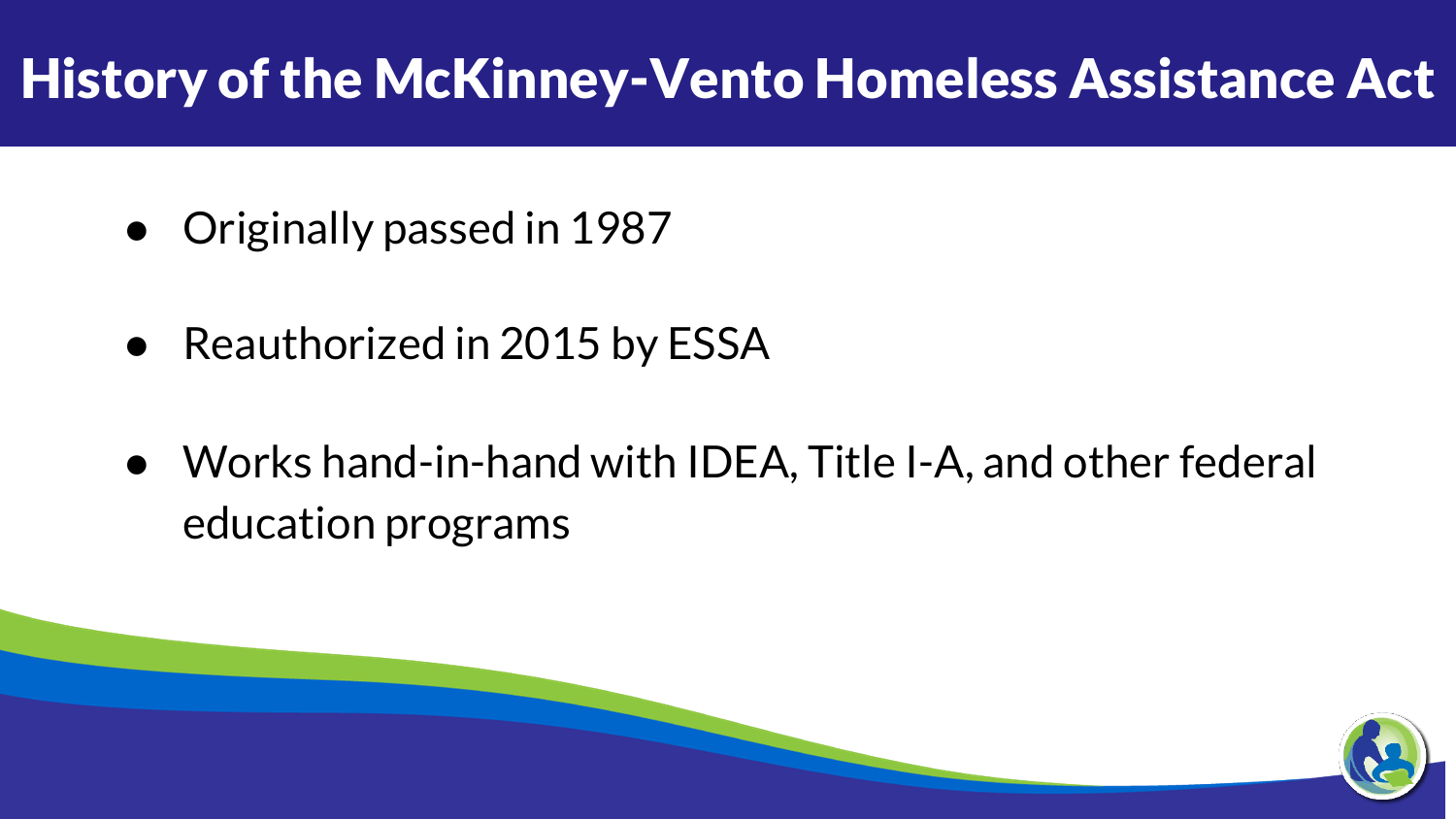#### History of the McKinney-Vento Homeless Assistance Act

- Originally passed in 1987
- Reauthorized in 2015 by ESSA
- Works hand-in-hand with IDEA, Title I-A, and other federal education programs

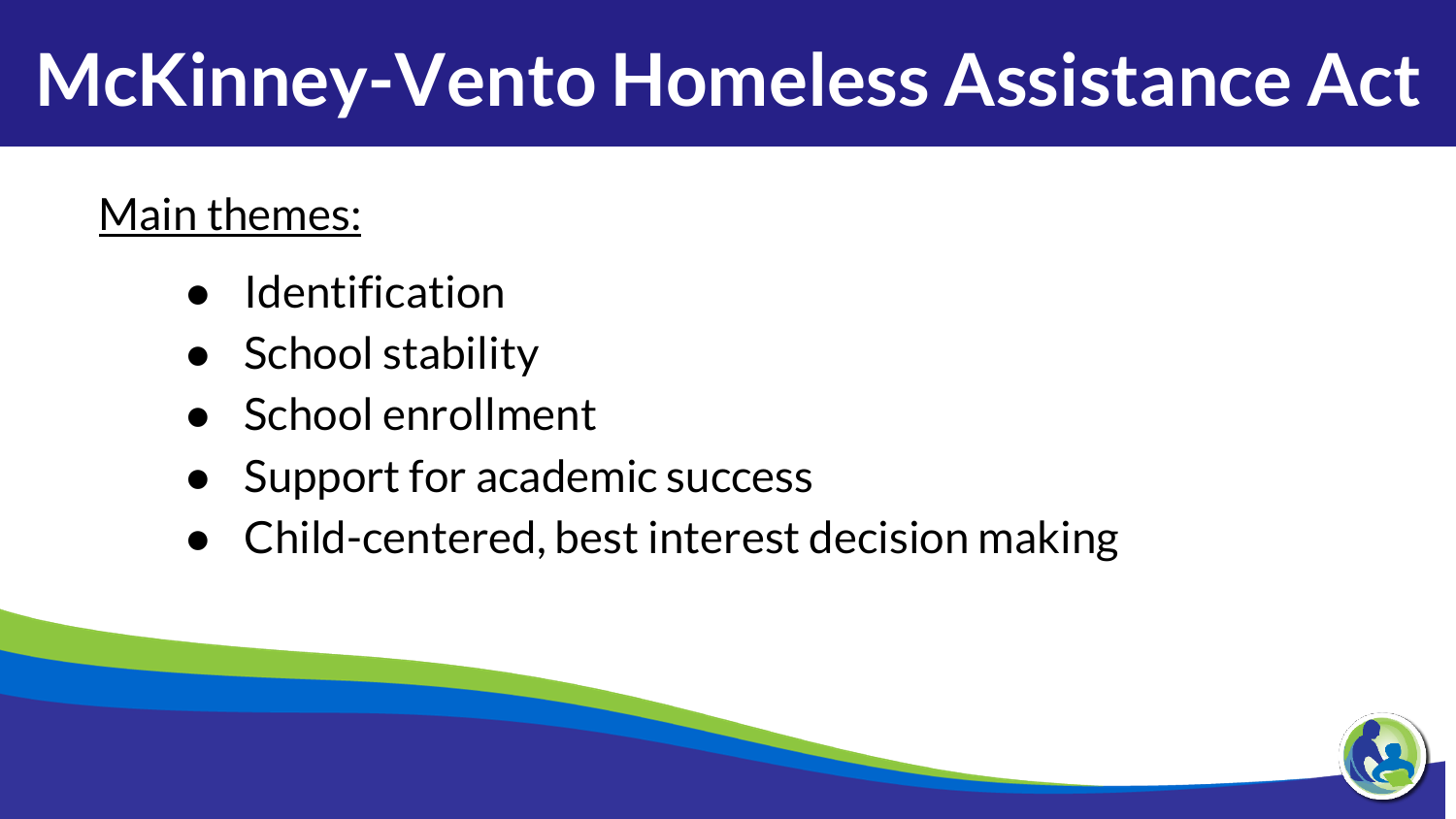# **McKinney-Vento Homeless Assistance Act**

#### Main themes:

- **Identification**
- School stability
- School enrollment
- Support for academic success
- Child-centered, best interest decision making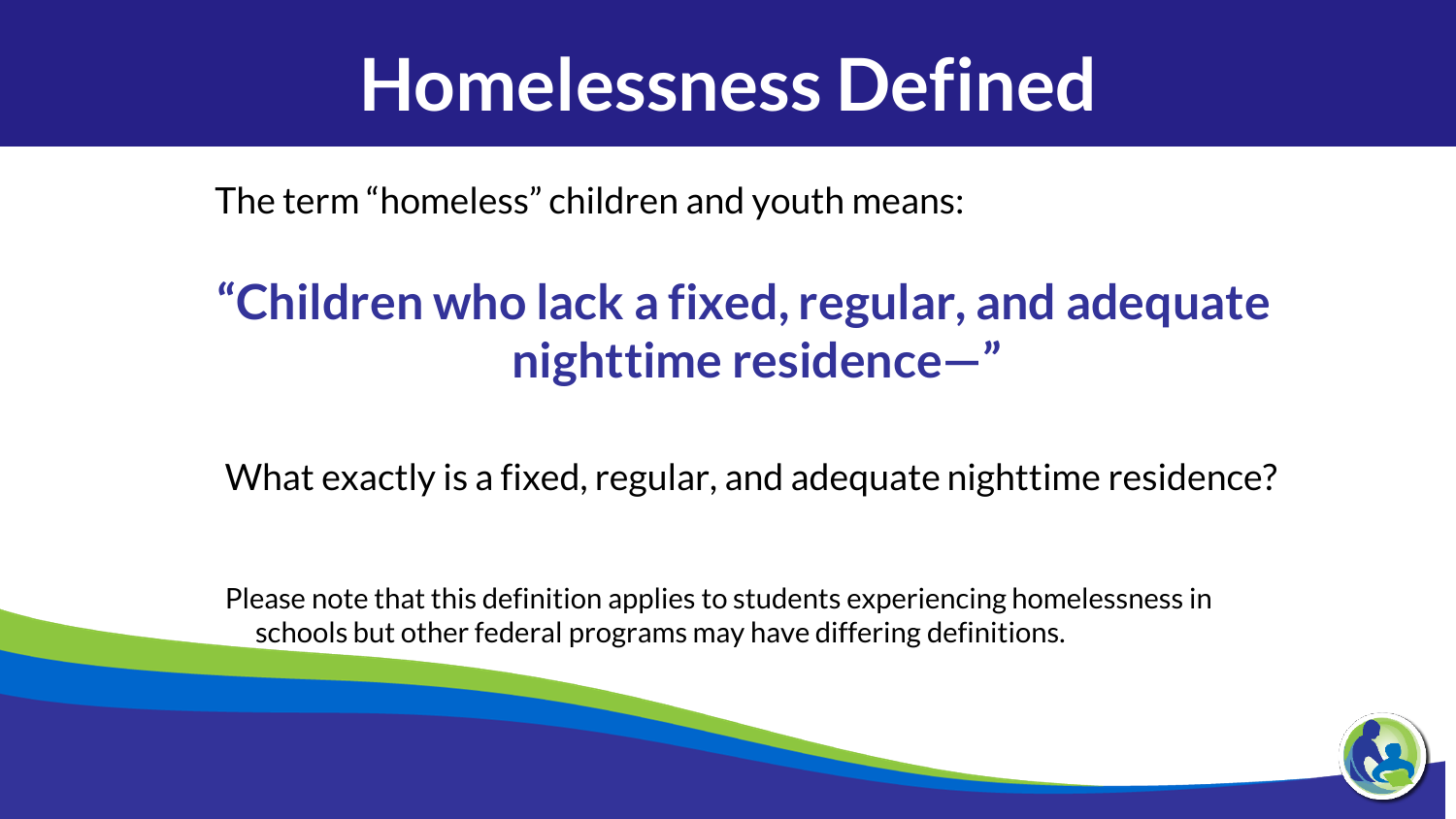#### **Homelessness Defined**

The term "homeless" children and youth means:

#### **"Children who lack a fixed, regular, and adequate nighttime residence—"**

What exactly is a fixed, regular, and adequate nighttime residence?

Please note that this definition applies to students experiencing homelessness in schools but other federal programs may have differing definitions.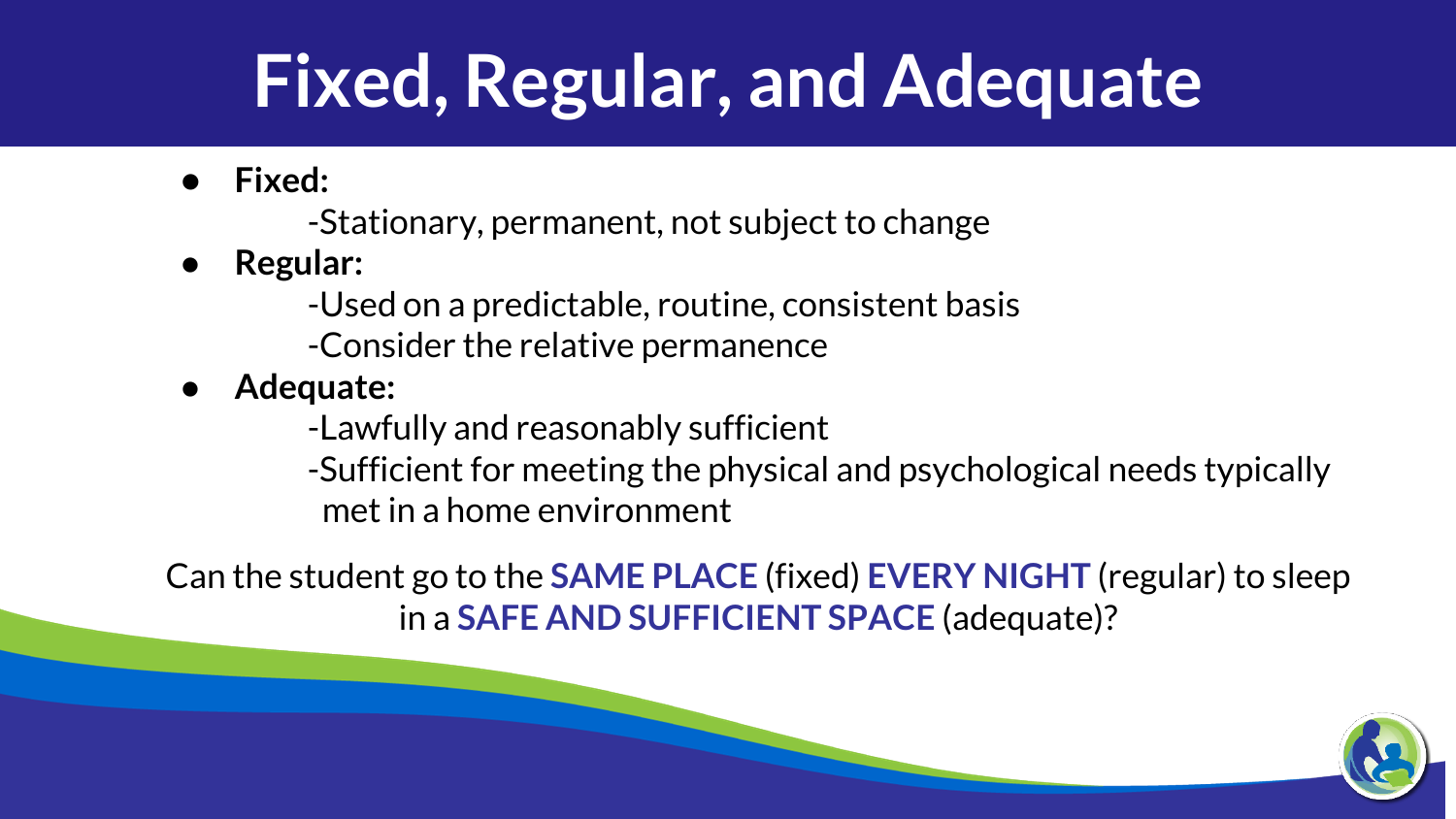# **Fixed, Regular, and Adequate**

● **Fixed:**

-Stationary, permanent, not subject to change

● **Regular:**

-Used on a predictable, routine, consistent basis -Consider the relative permanence

● **Adequate:**

-Lawfully and reasonably sufficient

-Sufficient for meeting the physical and psychological needs typically met in a home environment

Can the student go to the **SAME PLACE** (fixed) **EVERY NIGHT** (regular) to sleep in a **SAFE AND SUFFICIENT SPACE** (adequate)?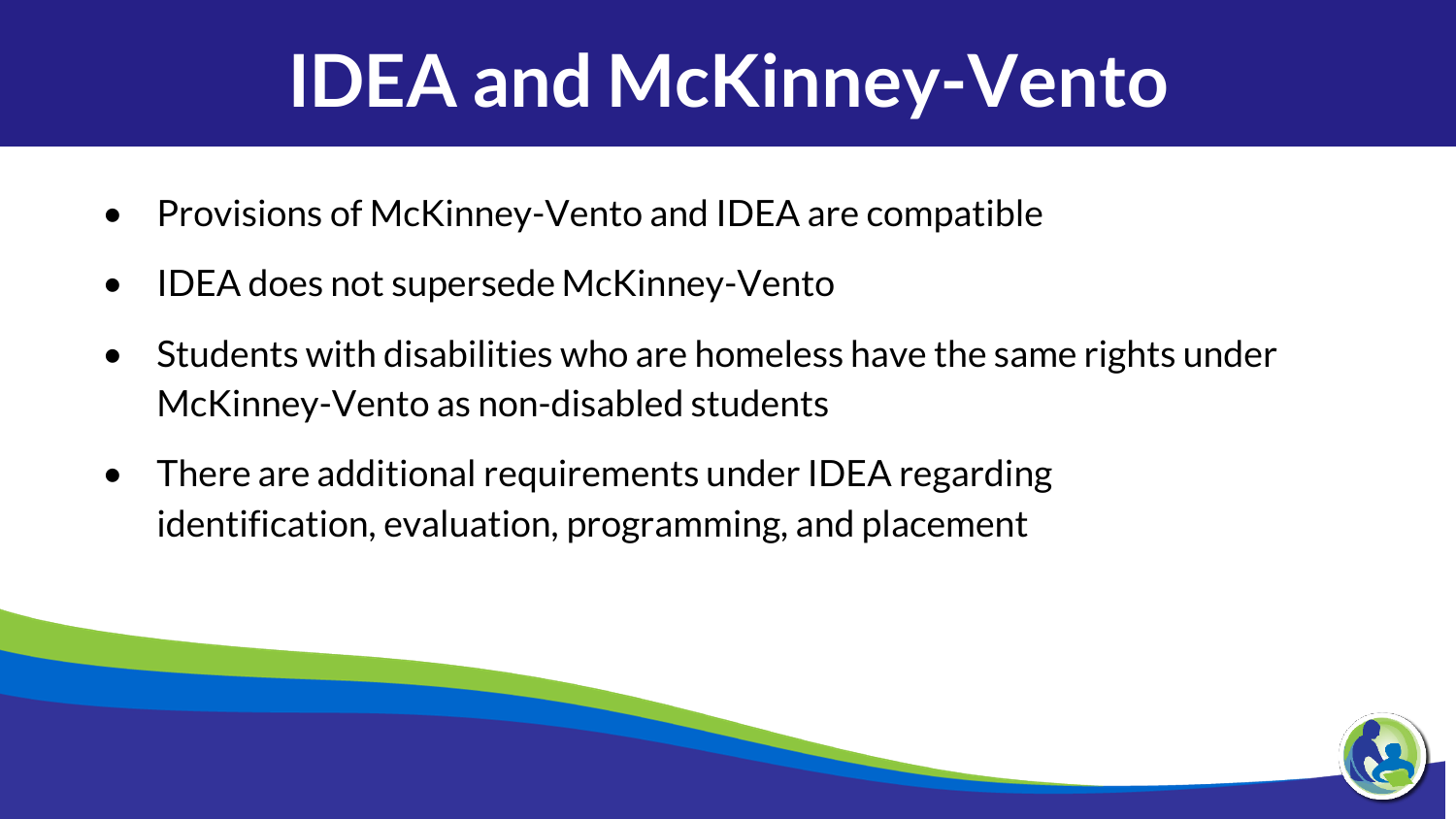# **IDEA and McKinney-Vento**

- Provisions of McKinney-Vento and IDEA are compatible
- IDEA does not supersede McKinney-Vento
- Students with disabilities who are homeless have the same rights under McKinney-Vento as non-disabled students
- There are additional requirements under IDEA regarding identification, evaluation, programming, and placement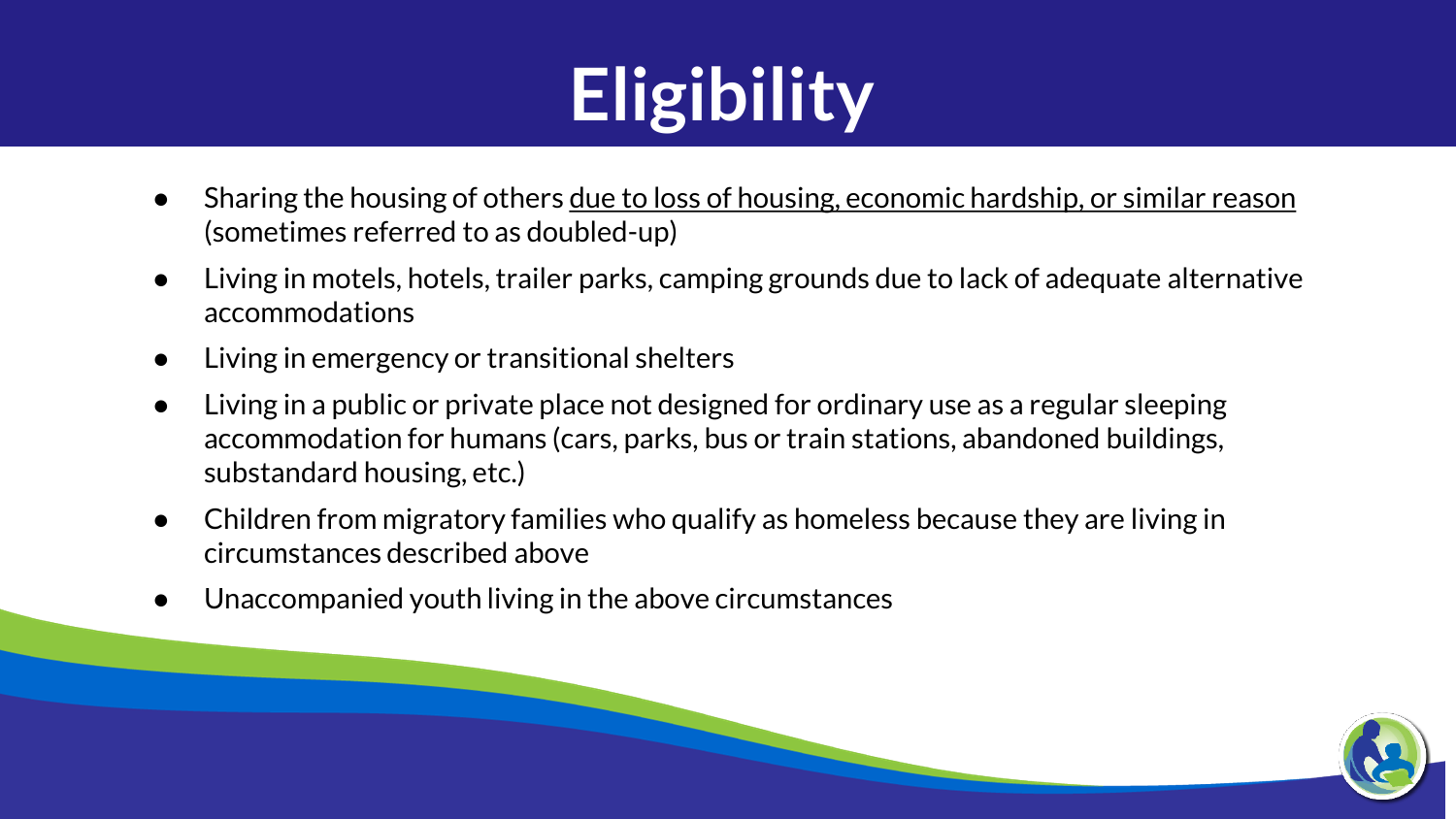# **Eligibility**

- Sharing the housing of others <u>due to loss of housing, economic hardship, or similar reason</u> (sometimes referred to as doubled-up)
- Living in motels, hotels, trailer parks, camping grounds due to lack of adequate alternative accommodations
- Living in emergency or transitional shelters
- Living in a public or private place not designed for ordinary use as a regular sleeping accommodation for humans (cars, parks, bus or train stations, abandoned buildings, substandard housing, etc.)
- Children from migratory families who qualify as homeless because they are living in circumstances described above
- Unaccompanied youth living in the above circumstances

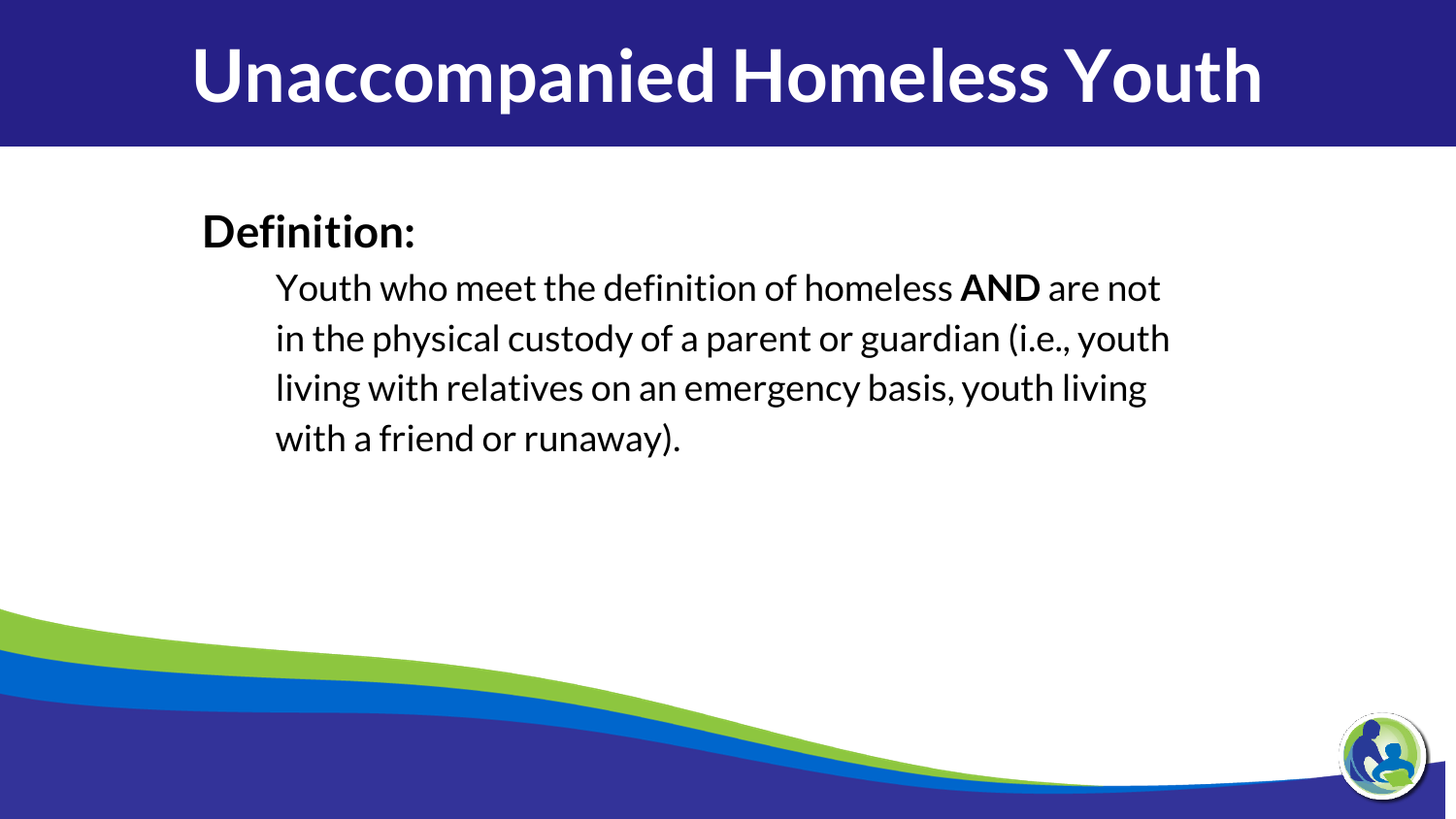### **Unaccompanied Homeless Youth**

#### **Definition:**

Youth who meet the definition of homeless **AND** are not in the physical custody of a parent or guardian (i.e., youth living with relatives on an emergency basis, youth living with a friend or runaway).

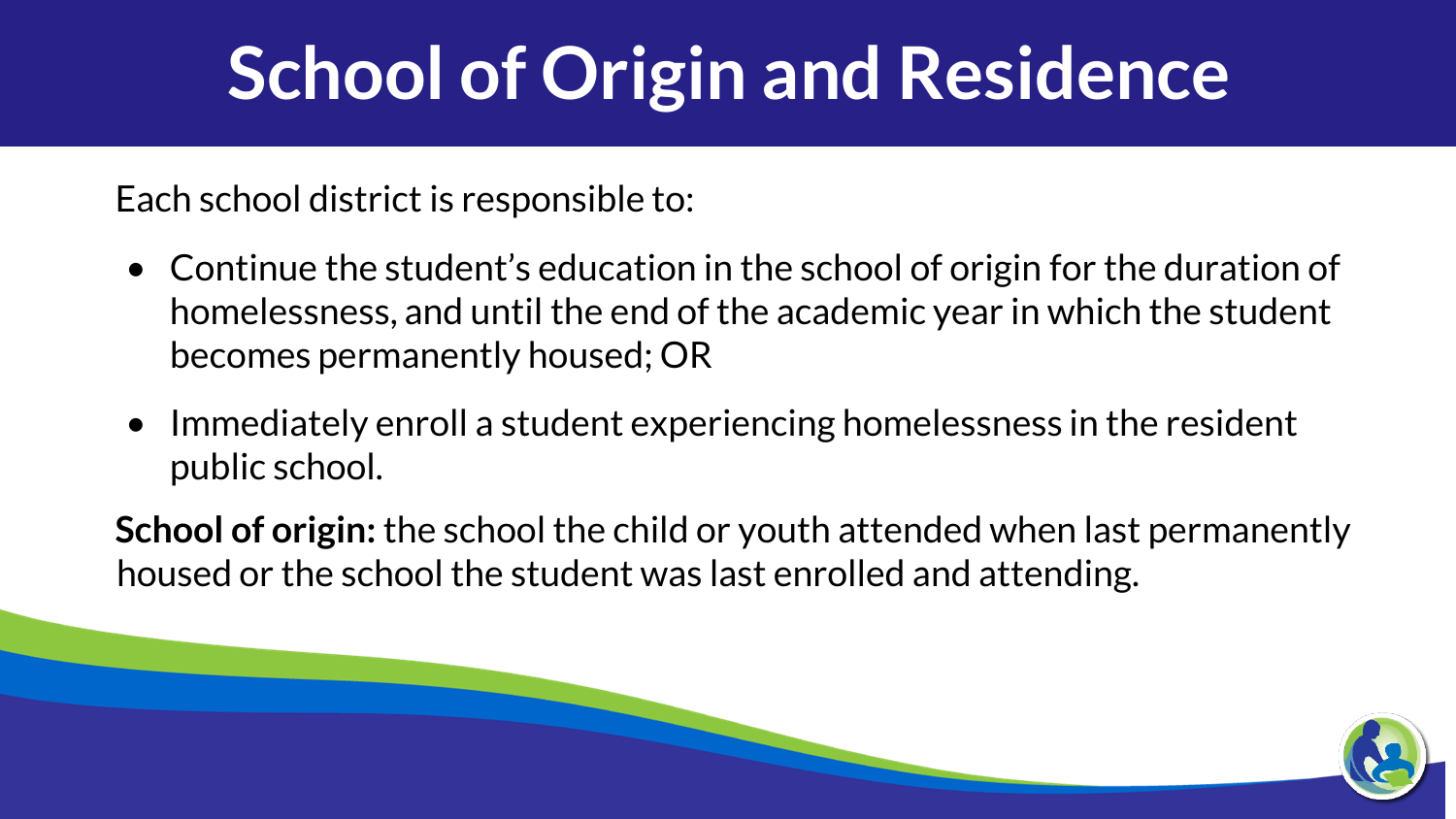# **School of Origin and Residence**

Each school district is responsible to:

- Continue the student's education in the school of origin for the duration of homelessness, and until the end of the academic year in which the student becomes permanently housed; OR
- Immediately enroll a student experiencing homelessness in the resident public school.

**School of origin:** the school the child or youth attended when last permanently housed or the school the student was last enrolled and attending.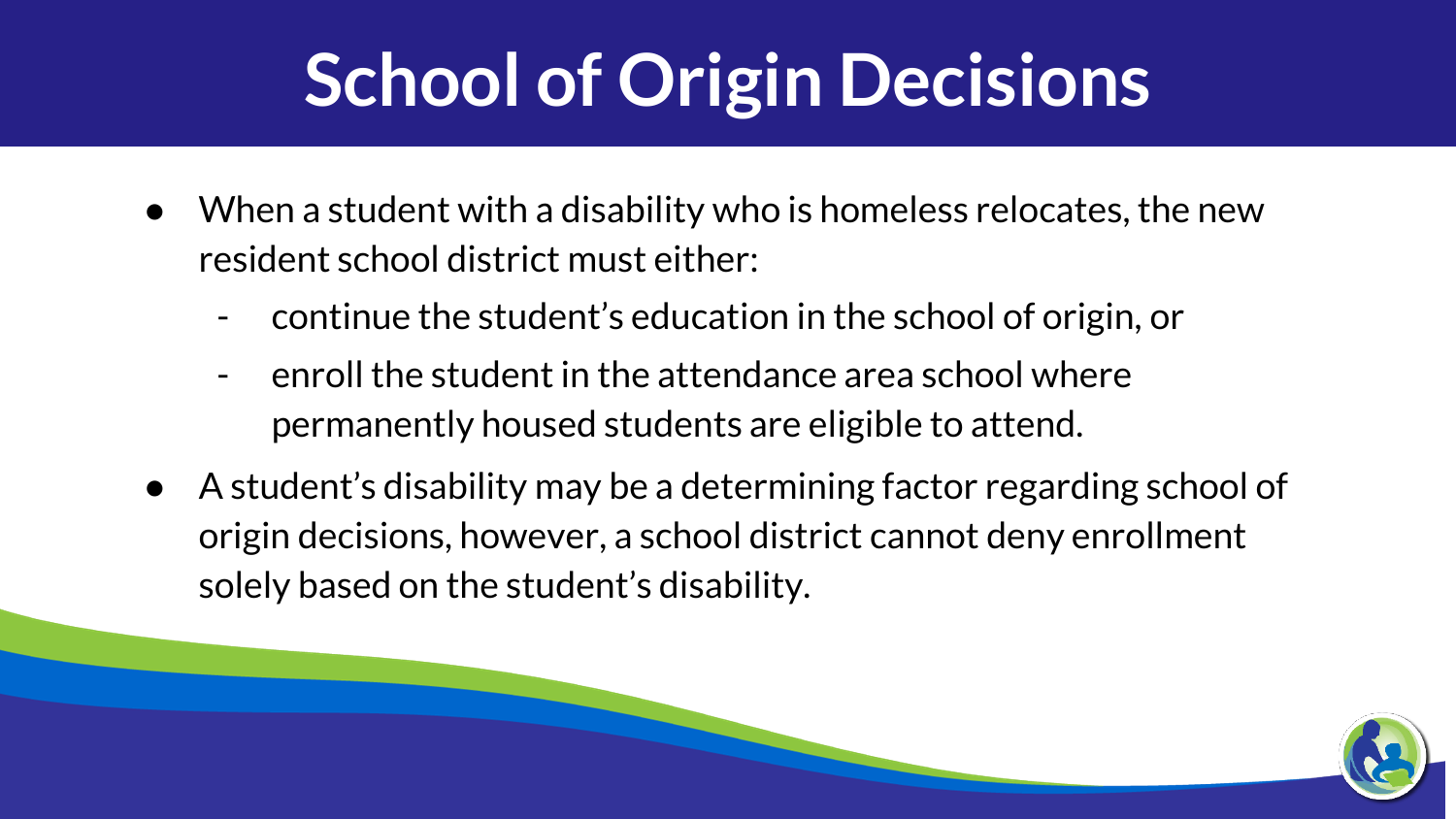# **School of Origin Decisions**

- When a student with a disability who is homeless relocates, the new resident school district must either:
	- continue the student's education in the school of origin, or
	- enroll the student in the attendance area school where permanently housed students are eligible to attend.
- A student's disability may be a determining factor regarding school of origin decisions, however, a school district cannot deny enrollment solely based on the student's disability.

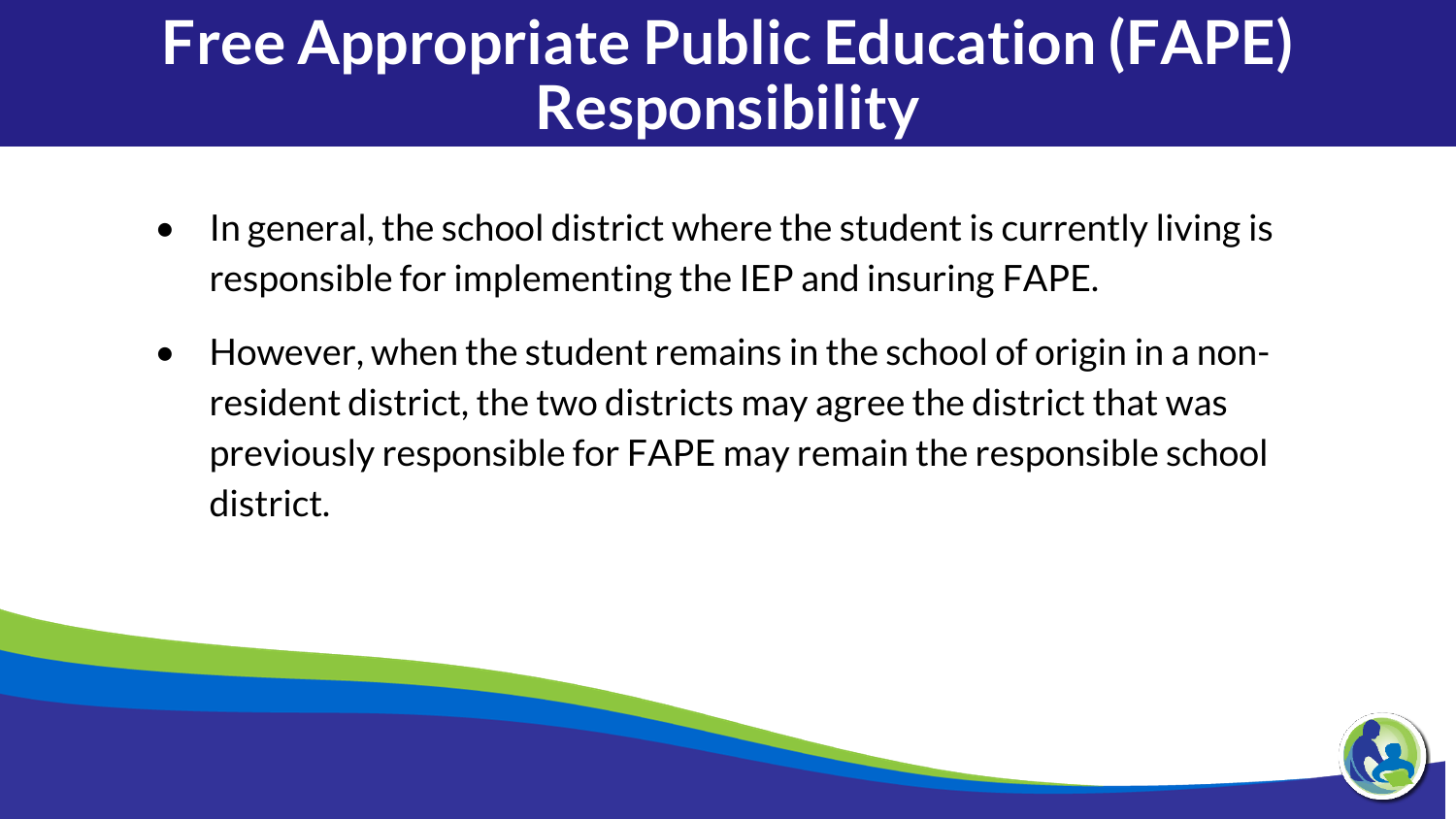#### **Free Appropriate Public Education (FAPE) Responsibility**

- In general, the school district where the student is currently living is responsible for implementing the IEP and insuring FAPE.
- However, when the student remains in the school of origin in a nonresident district, the two districts may agree the district that was previously responsible for FAPE may remain the responsible school district.

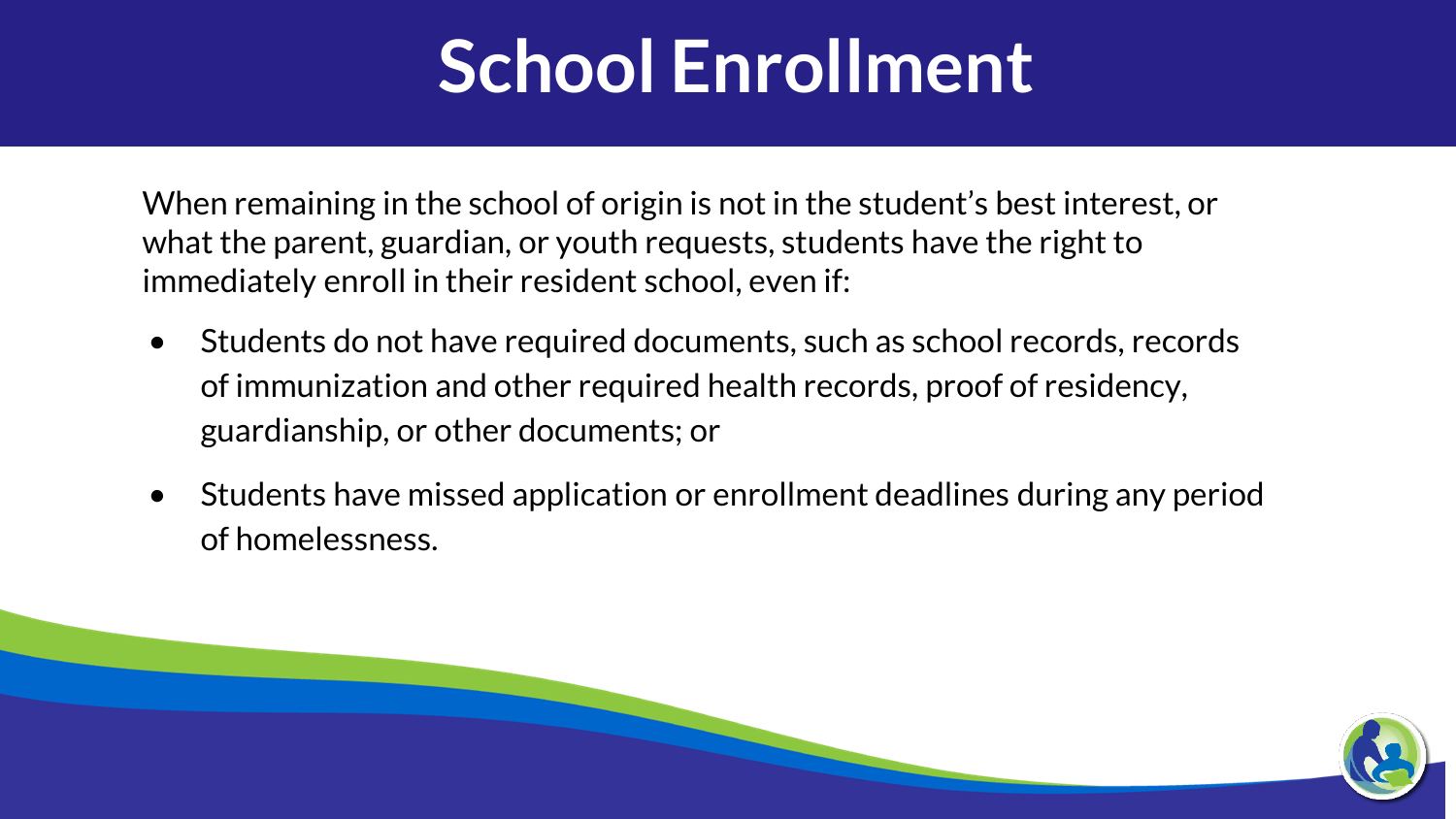### **School Enrollment**

When remaining in the school of origin is not in the student's best interest, or what the parent, guardian, or youth requests, students have the right to immediately enroll in their resident school, even if:

- Students do not have required documents, such as school records, records of immunization and other required health records, proof of residency, guardianship, or other documents; or
- Students have missed application or enrollment deadlines during any period of homelessness.

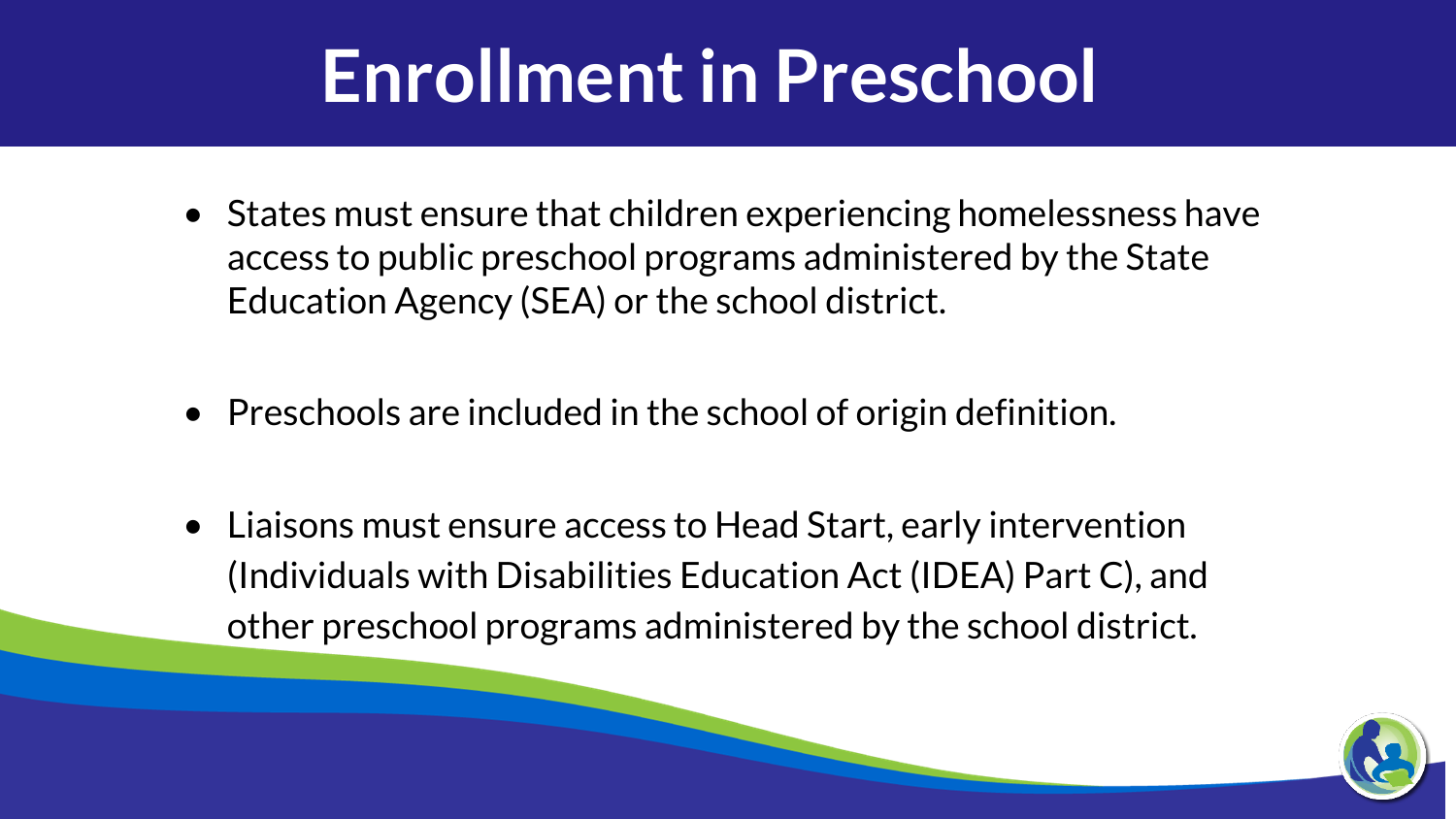# **Enrollment in Preschool**

- States must ensure that children experiencing homelessness have access to public preschool programs administered by the State Education Agency (SEA) or the school district.
- Preschools are included in the school of origin definition.
- Liaisons must ensure access to Head Start, early intervention (Individuals with Disabilities Education Act (IDEA) Part C), and other preschool programs administered by the school district.

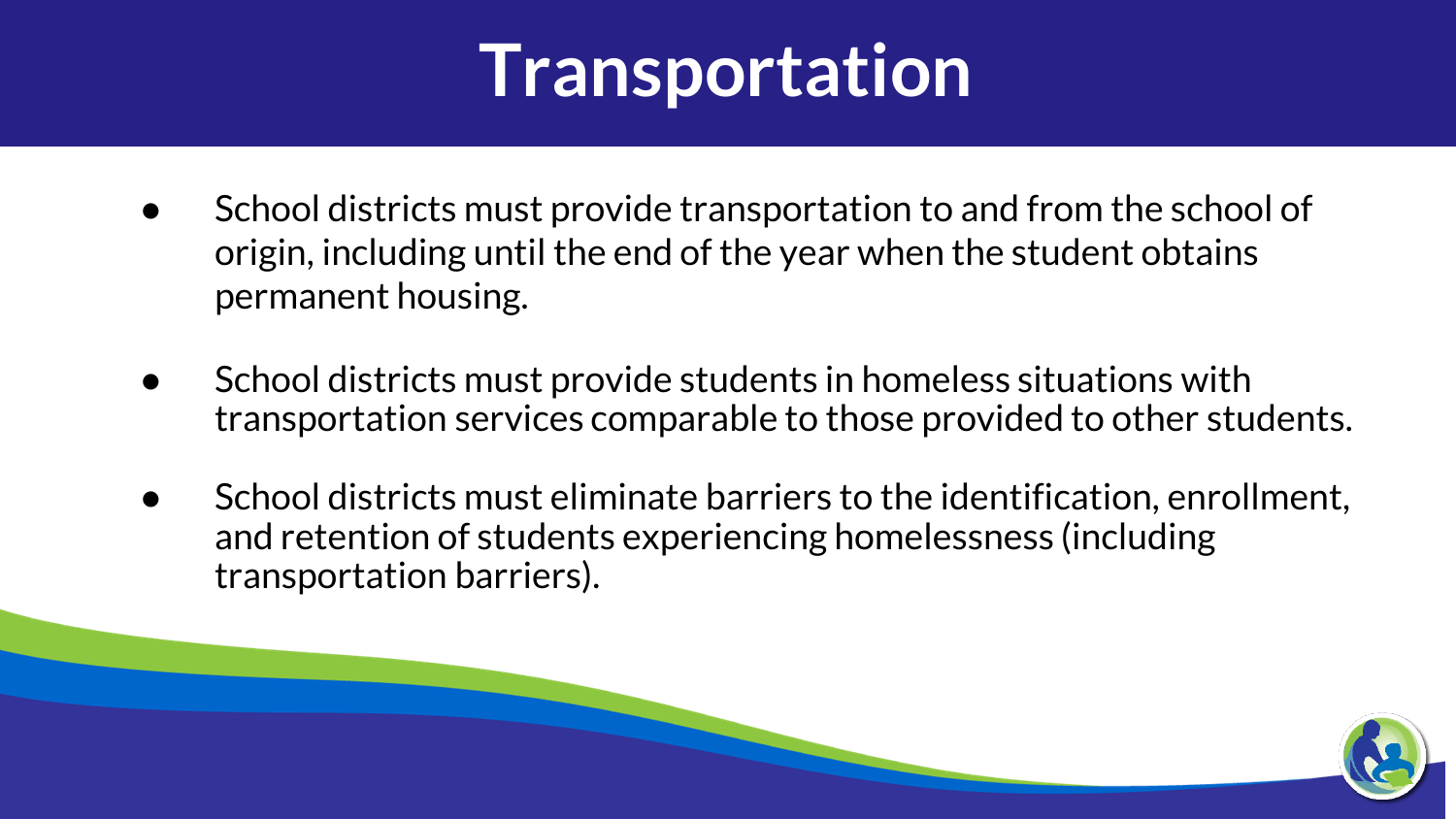# **Transportation**

- School districts must provide transportation to and from the school of origin, including until the end of the year when the student obtains permanent housing.
- School districts must provide students in homeless situations with transportation services comparable to those provided to other students.
- School districts must eliminate barriers to the identification, enrollment, and retention of students experiencing homelessness (including transportation barriers).

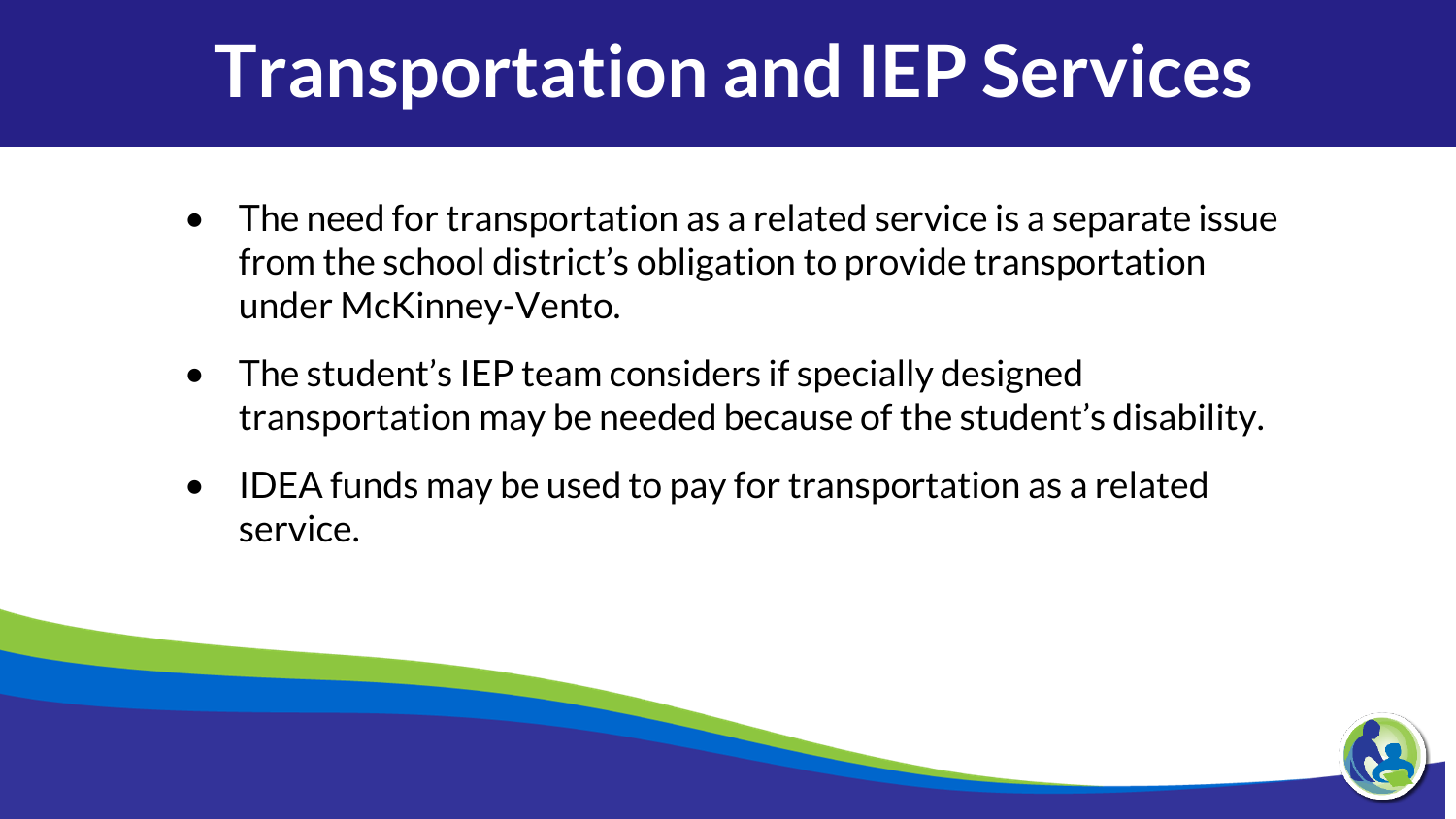### **Transportation and IEP Services**

- The need for transportation as a related service is a separate issue from the school district's obligation to provide transportation under McKinney-Vento.
- The student's IEP team considers if specially designed transportation may be needed because of the student's disability.
- IDEA funds may be used to pay for transportation as a related service.

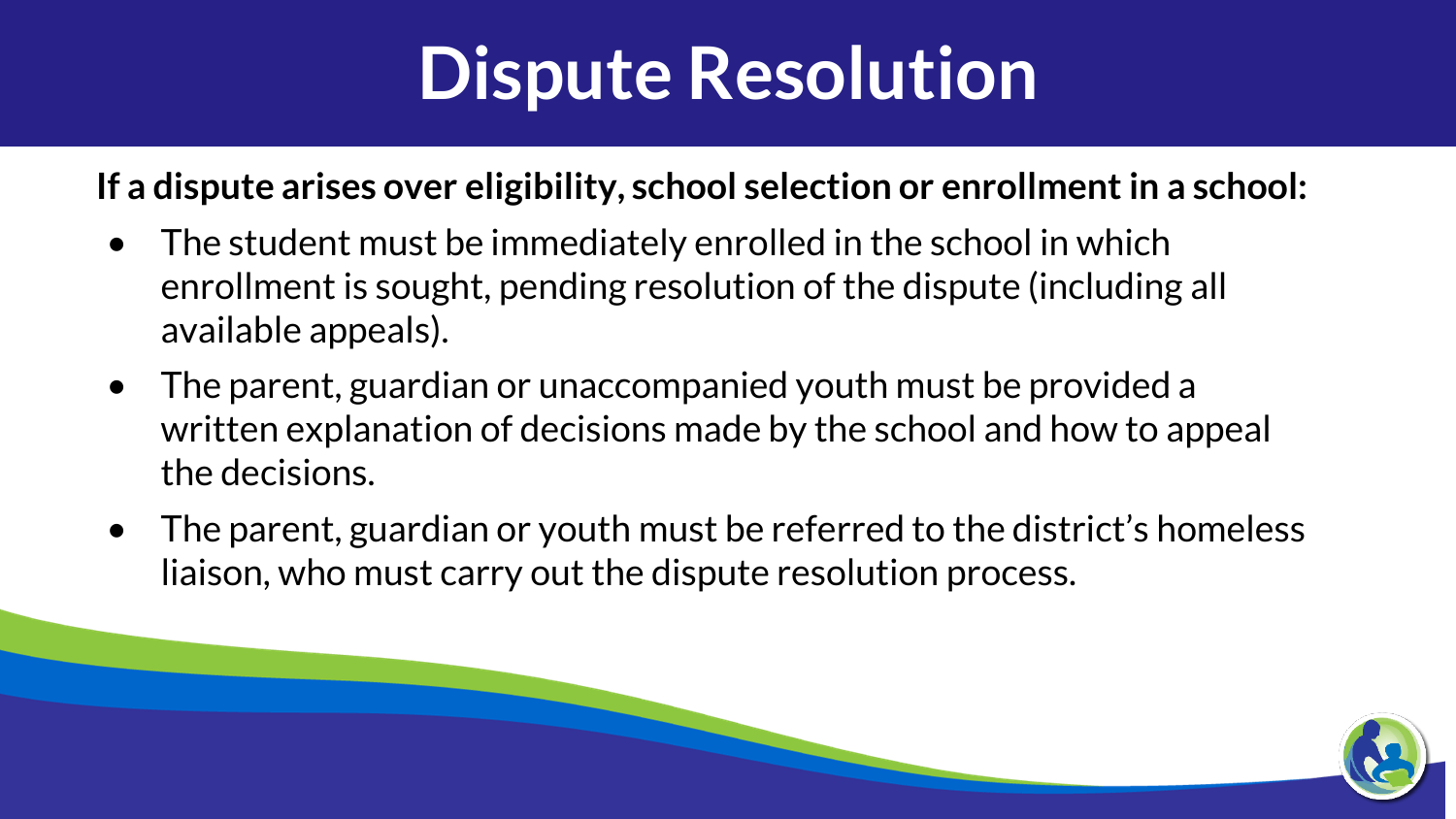# **Dispute Resolution**

#### **If a dispute arises over eligibility, school selection or enrollment in a school:**

- The student must be immediately enrolled in the school in which enrollment is sought, pending resolution of the dispute (including all available appeals).
- The parent, guardian or unaccompanied youth must be provided a written explanation of decisions made by the school and how to appeal the decisions.
- The parent, guardian or youth must be referred to the district's homeless liaison, who must carry out the dispute resolution process.

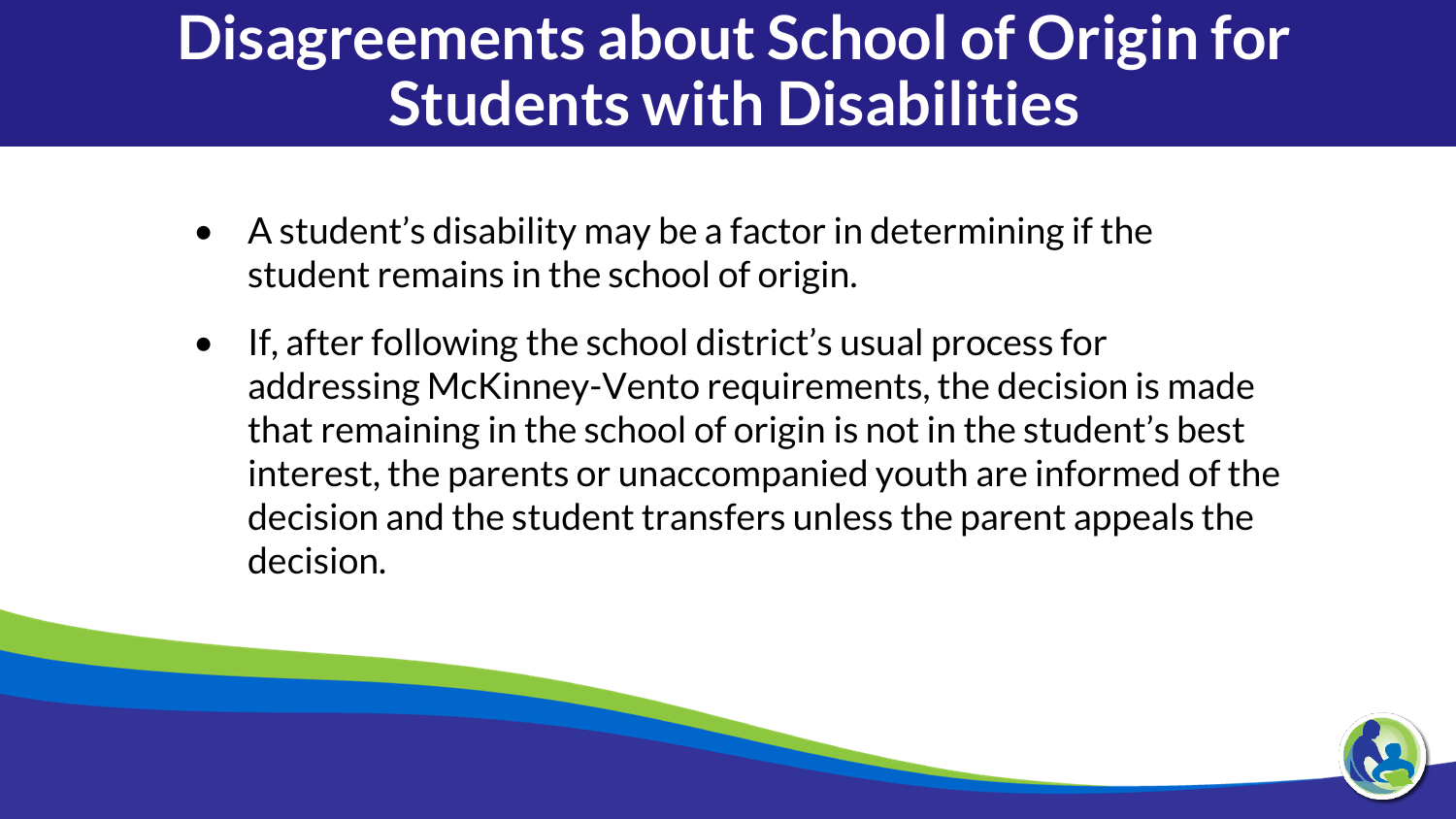#### **Disagreements about School of Origin for Students with Disabilities**

- A student's disability may be a factor in determining if the student remains in the school of origin.
- If, after following the school district's usual process for addressing McKinney-Vento requirements, the decision is made that remaining in the school of origin is not in the student's best interest, the parents or unaccompanied youth are informed of the decision and the student transfers unless the parent appeals the decision.

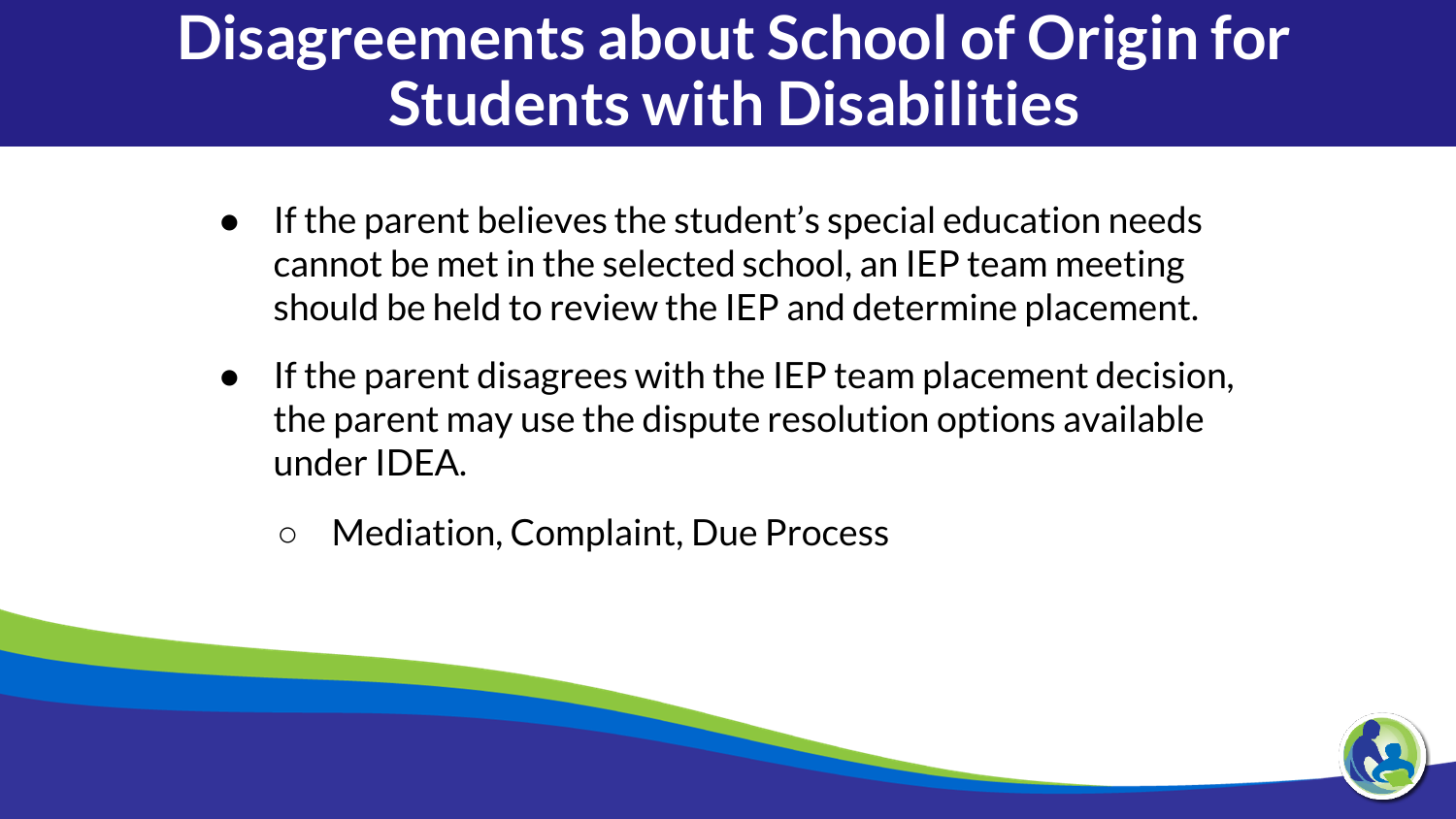#### **Disagreements about School of Origin for Students with Disabilities**

- If the parent believes the student's special education needs cannot be met in the selected school, an IEP team meeting should be held to review the IEP and determine placement.
- If the parent disagrees with the IEP team placement decision, the parent may use the dispute resolution options available under IDEA.
	- Mediation, Complaint, Due Process

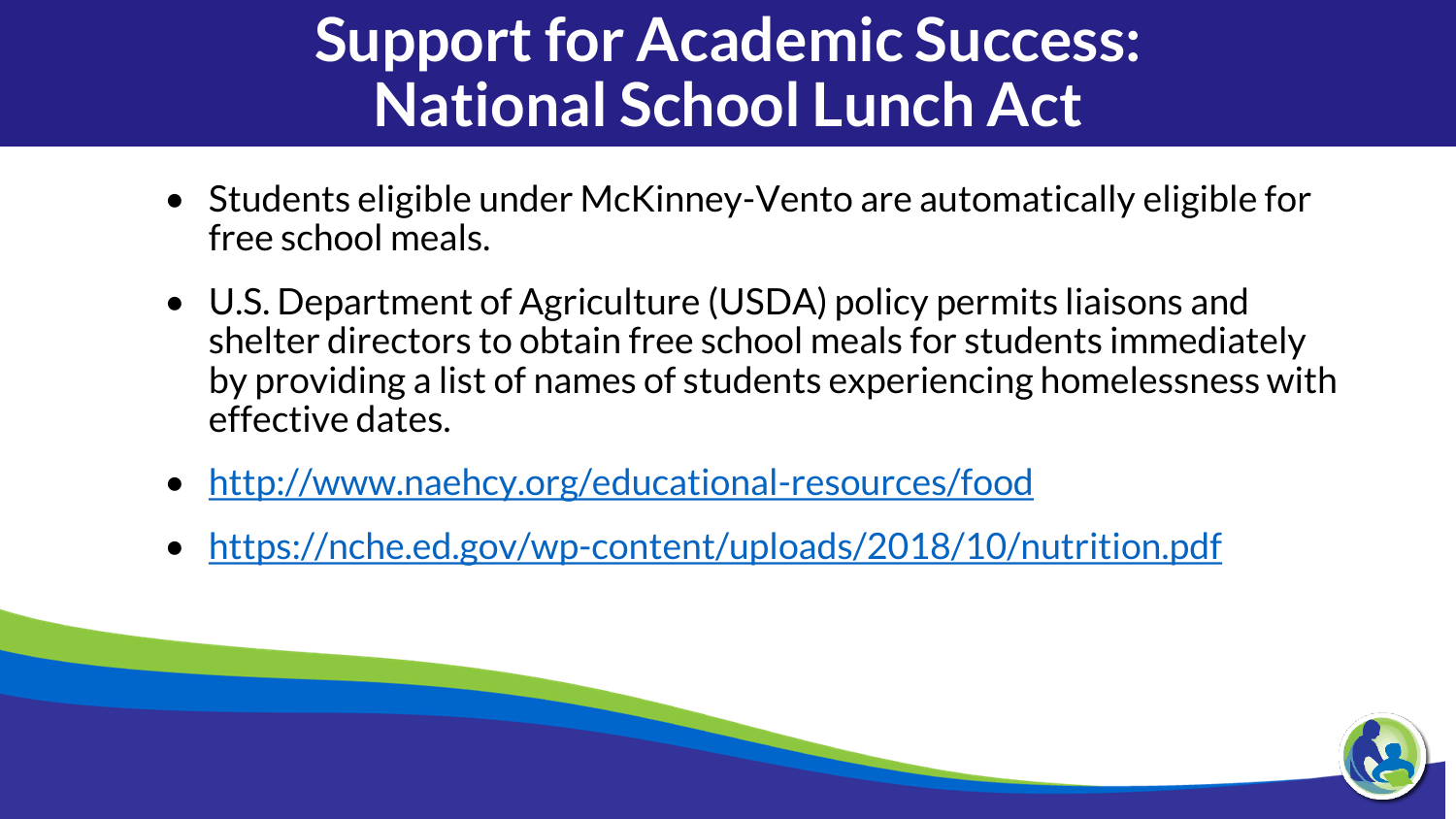#### **Support for Academic Success: National School Lunch Act**

- Students eligible under McKinney-Vento are automatically eligible for free school meals.
- U.S. Department of Agriculture (USDA) policy permits liaisons and shelter directors to obtain free school meals for students immediately by providing a list of names of students experiencing homelessness with effective dates.
- <http://www.naehcy.org/educational-resources/food>
- <https://nche.ed.gov/wp-content/uploads/2018/10/nutrition.pdf>

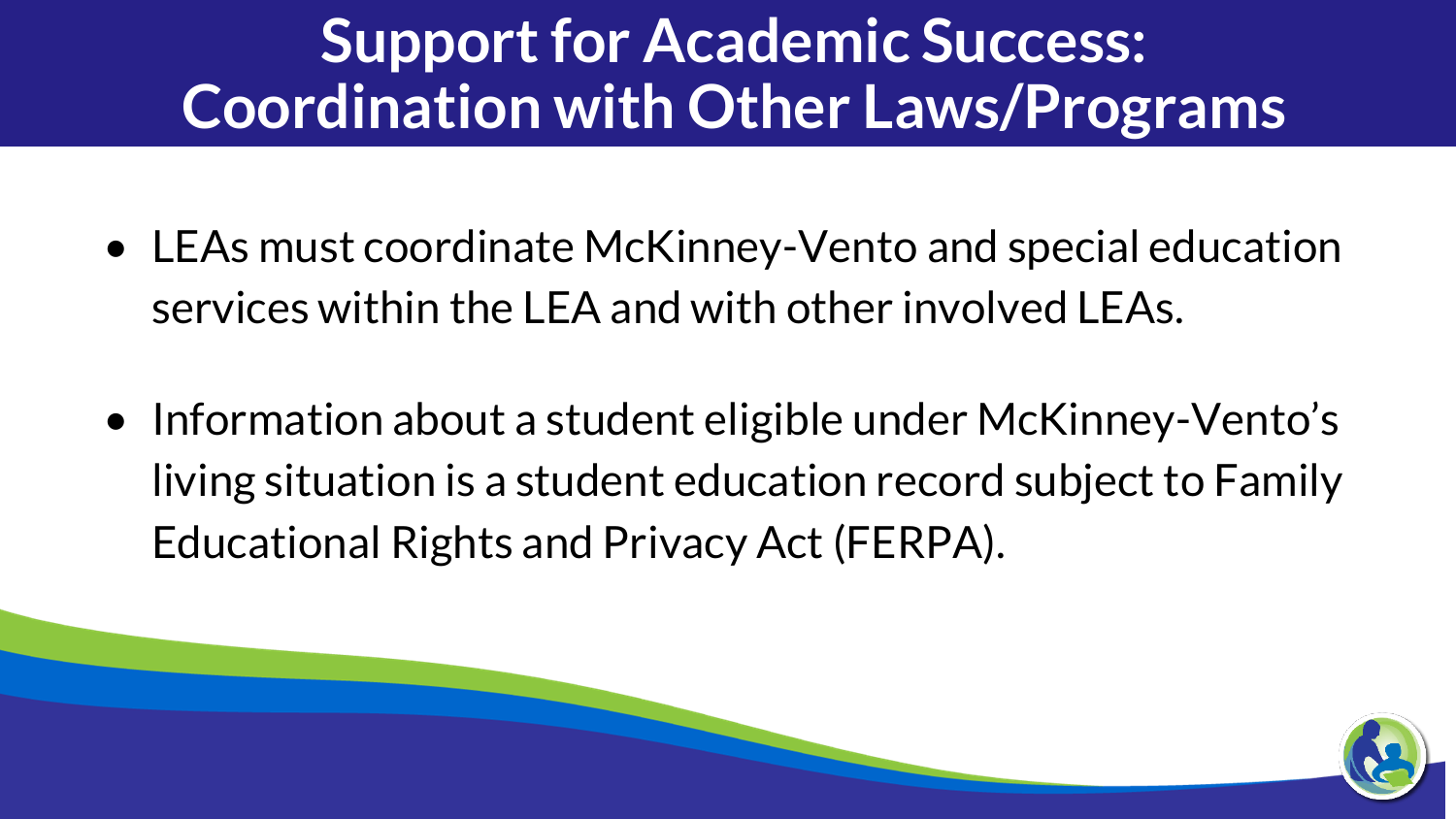#### **Support for Academic Success: Coordination with Other Laws/Programs**

- LEAs must coordinate McKinney-Vento and special education services within the LEA and with other involved LEAs.
- Information about a student eligible under McKinney-Vento's living situation is a student education record subject to Family Educational Rights and Privacy Act (FERPA).

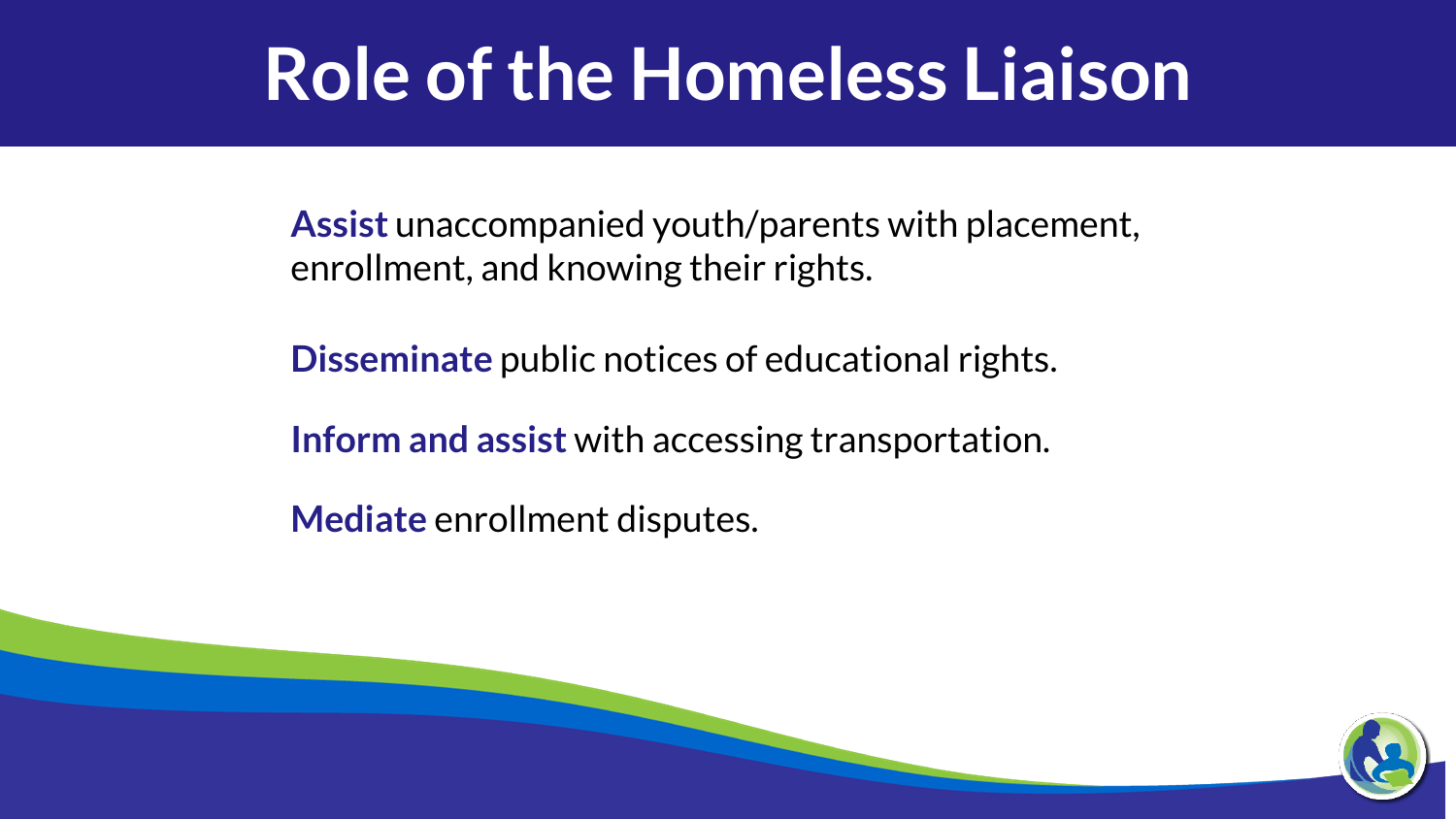### **Role of the Homeless Liaison**

**Assist** unaccompanied youth/parents with placement, enrollment, and knowing their rights.

**Disseminate** public notices of educational rights.

**Inform and assist** with accessing transportation.

**Mediate** enrollment disputes.

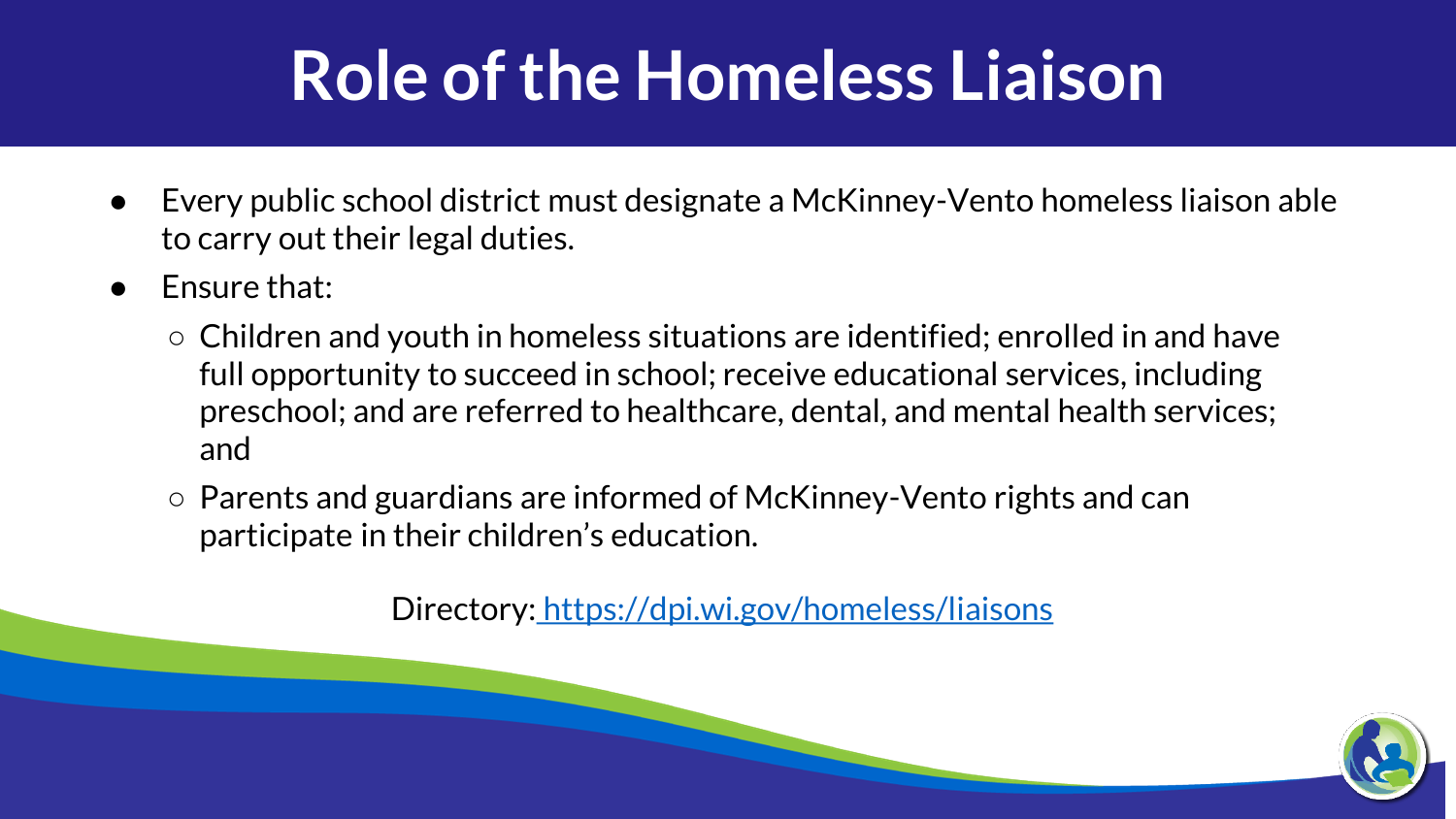### **Role of the Homeless Liaison**

- Every public school district must designate a McKinney-Vento homeless liaison able to carry out their legal duties.
- Fnsure that:
	- Children and youth in homeless situations are identified; enrolled in and have full opportunity to succeed in school; receive educational services, including preschool; and are referred to healthcare, dental, and mental health services; and
	- Parents and guardians are informed of McKinney-Vento rights and can participate in their children's education.

Directory: <https://dpi.wi.gov/homeless/liaisons>

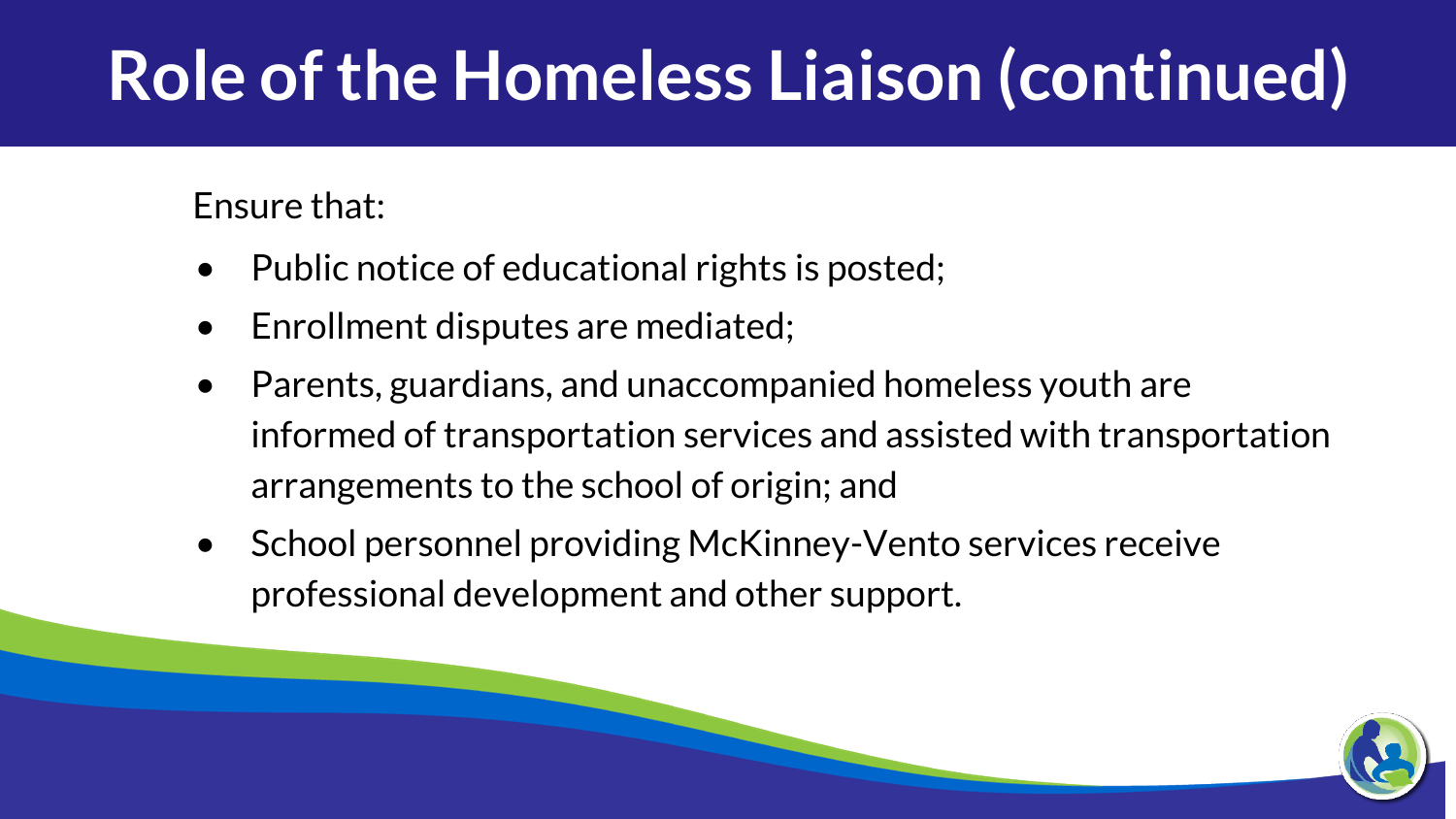### **Role of the Homeless Liaison (continued)**

Ensure that:

- Public notice of educational rights is posted;
- Enrollment disputes are mediated;
- Parents, guardians, and unaccompanied homeless youth are informed of transportation services and assisted with transportation arrangements to the school of origin; and
- School personnel providing McKinney-Vento services receive professional development and other support.

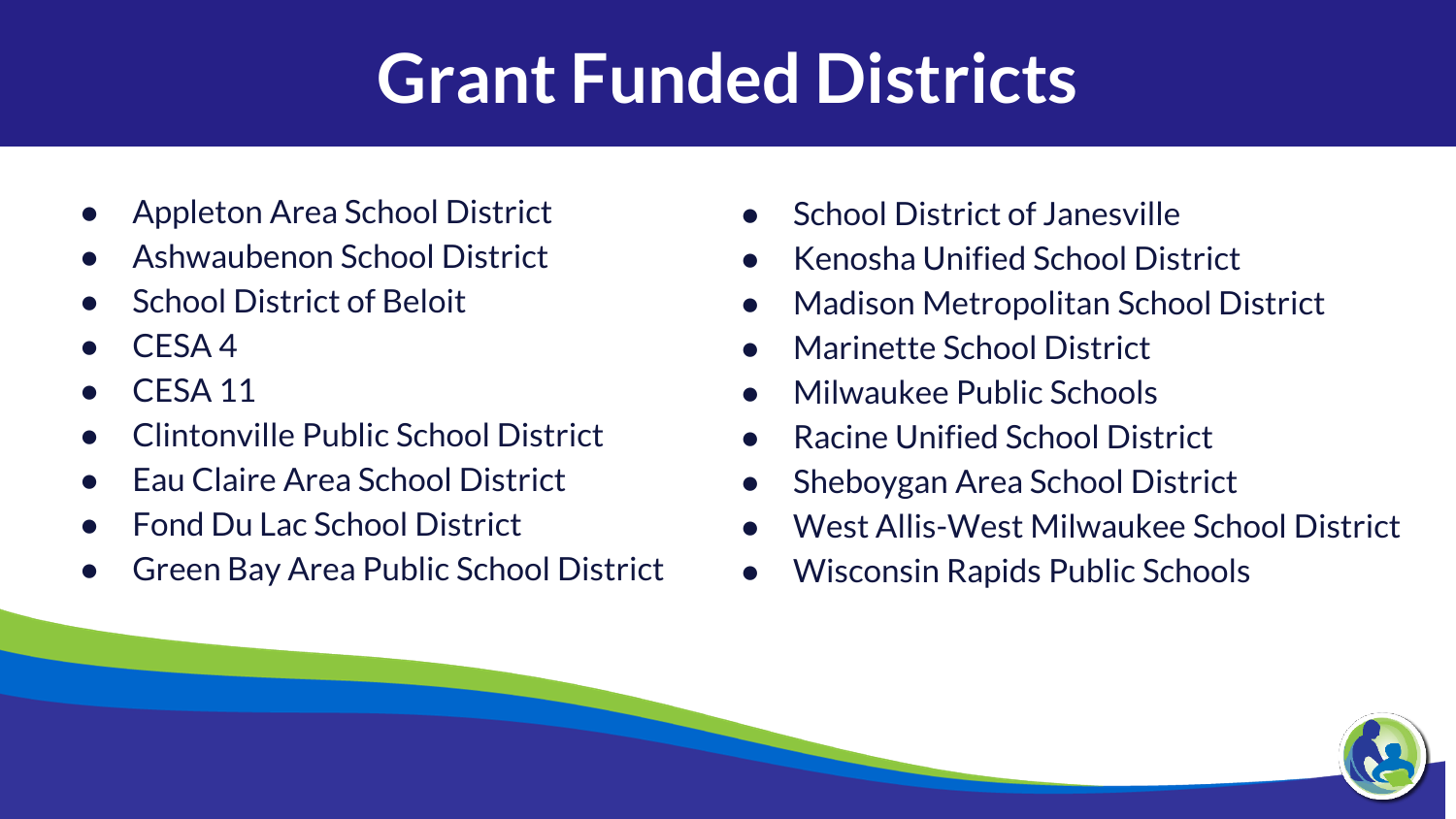#### **Grant Funded Districts**

- Appleton Area School District
- Ashwaubenon School District
- **School District of Beloit**
- $CFSA 4$
- CFSA 11
- Clintonville Public School District
- Fau Claire Area School District
- **Fond Du Lac School District**
- Green Bay Area Public School District
- **School District of Janesville**
- Kenosha Unified School District
- Madison Metropolitan School District
- Marinette School District
- Milwaukee Public Schools
- Racine Unified School District
- Sheboygan Area School District
- West Allis-West Milwaukee School District
- Wisconsin Rapids Public Schools

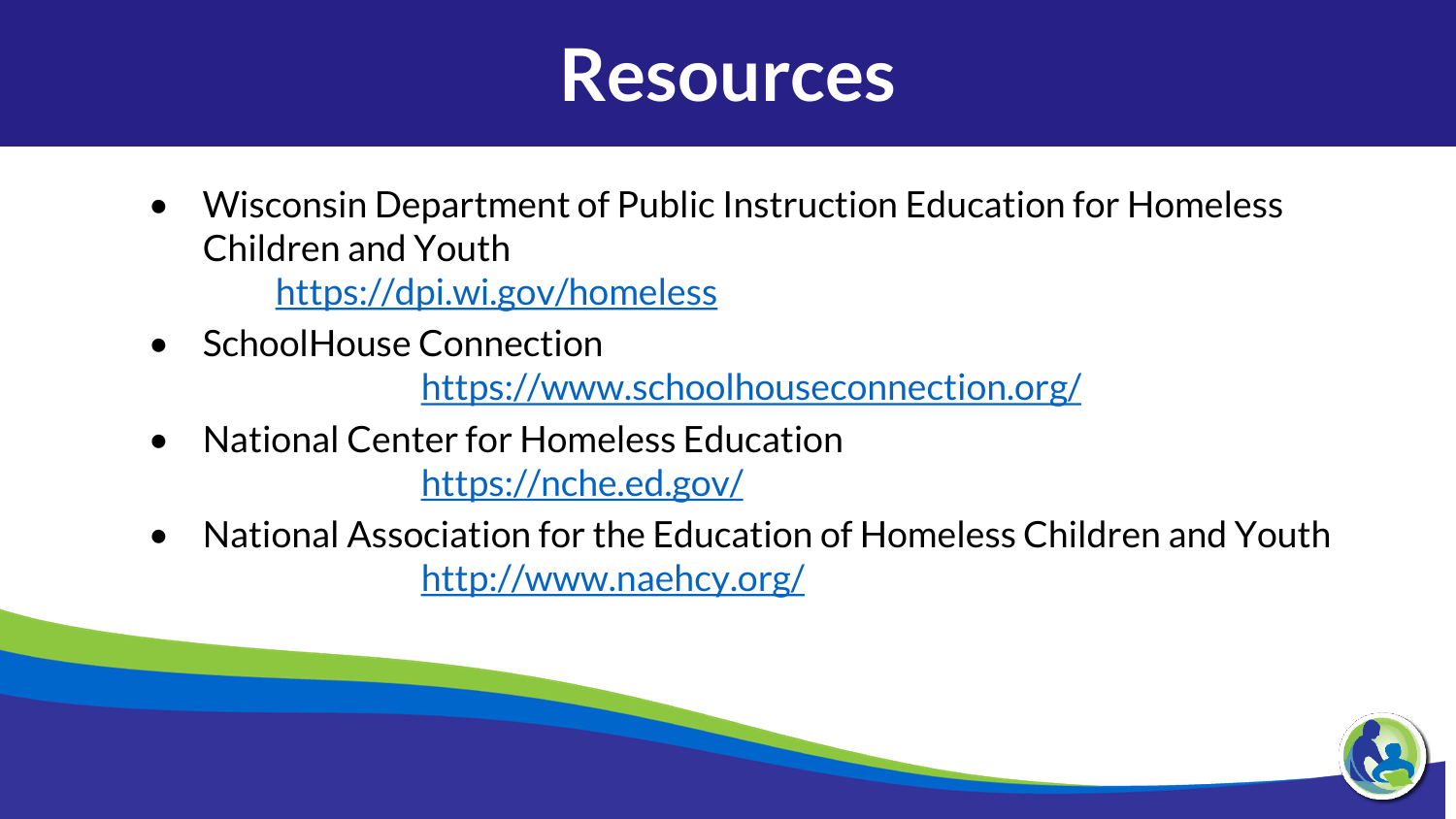

- Wisconsin Department of Public Instruction Education for Homeless Children and Youth <https://dpi.wi.gov/homeless>
- SchoolHouse Connection

<https://www.schoolhouseconnection.org/>

- National Center for Homeless Education <https://nche.ed.gov/>
- National Association for the Education of Homeless Children and Youth <http://www.naehcy.org/>